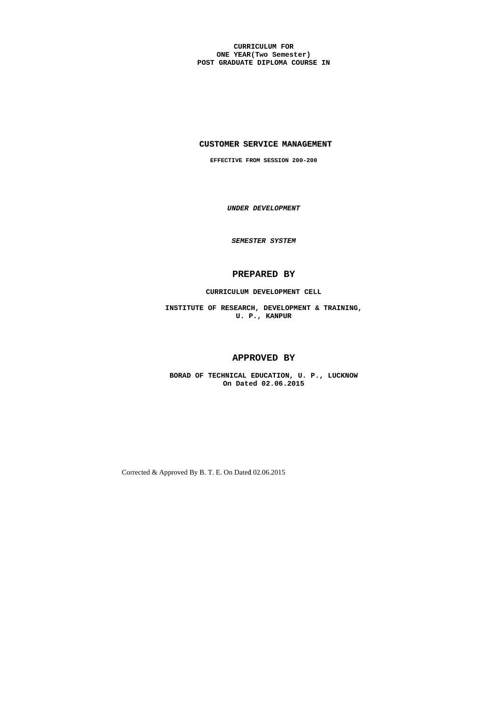**CURRICULUM FOR ONE YEAR(Two Semester) POST GRADUATE DIPLOMA COURSE IN**

## **CUSTOMER SERVICE MANAGEMENT**

**EFFECTIVE FROM SESSION 200-200** 

*UNDER DEVELOPMENT* 

*SEMESTER SYSTEM* 

# **PREPARED BY**

## **CURRICULUM DEVELOPMENT CELL**

**INSTITUTE OF RESEARCH, DEVELOPMENT & TRAINING, U. P., KANPUR**

# **APPROVED BY**

**BORAD OF TECHNICAL EDUCATION, U. P., LUCKNOW On Dated 02.06.2015**

Corrected & Approved By B. T. E. On Dated 02.06.2015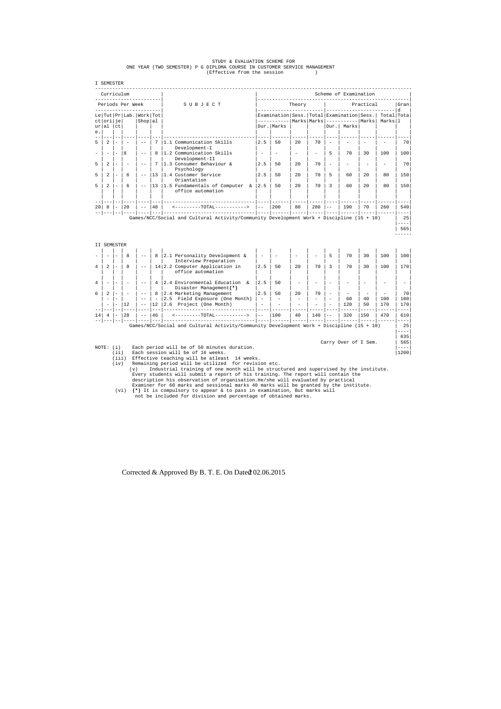Corrected & Approved By B. T. E. On Dated 02.06.2015 2

|  |  |  |  |  | STUDY & EVALUATION SCHEME FOR |                                                                           |
|--|--|--|--|--|-------------------------------|---------------------------------------------------------------------------|
|  |  |  |  |  |                               | ONE YEAR (TWO SEMESTER) P G DIPLOMA COURSE IN CUSTOMER SERVICE MANAGEMENT |
|  |  |  |  |  | (Effective from the session   |                                                                           |

|                          |                          | Curriculum<br>_______________ |                                |                                  |                                                                                          |                          |                                                                      |                          |                      |                                             | Scheme of Examination |          |                                                                                                                                                                                                                                                                                                                                                                                                                                                                                     |                                                                                                                                                                                                                                                                                                                                                                                                                                                                                                      |
|--------------------------|--------------------------|-------------------------------|--------------------------------|----------------------------------|------------------------------------------------------------------------------------------|--------------------------|----------------------------------------------------------------------|--------------------------|----------------------|---------------------------------------------|-----------------------|----------|-------------------------------------------------------------------------------------------------------------------------------------------------------------------------------------------------------------------------------------------------------------------------------------------------------------------------------------------------------------------------------------------------------------------------------------------------------------------------------------|------------------------------------------------------------------------------------------------------------------------------------------------------------------------------------------------------------------------------------------------------------------------------------------------------------------------------------------------------------------------------------------------------------------------------------------------------------------------------------------------------|
|                          |                          | Periods Per Week              |                                |                                  | SUBJECT                                                                                  |                          | Theory                                                               |                          |                      | Practical<br>--------- d<br>_______________ |                       |          |                                                                                                                                                                                                                                                                                                                                                                                                                                                                                     | Gran                                                                                                                                                                                                                                                                                                                                                                                                                                                                                                 |
| Le<br>ct ori je          |                          | Tut   Pr   Lab.   Work   Tot  | $\text{Shop}$   al             |                                  |                                                                                          |                          | Examination Sess. Total Examination Sess.<br>----------- Marks Marks |                          |                      |                                             | ----------- Marks     |          | Total Tota<br>Marks 1                                                                                                                                                                                                                                                                                                                                                                                                                                                               |                                                                                                                                                                                                                                                                                                                                                                                                                                                                                                      |
| al<br>ur<br>е.           | ct                       |                               |                                |                                  |                                                                                          |                          | Dur.   Marks                                                         |                          |                      | Dur.                                        | Marks                 |          |                                                                                                                                                                                                                                                                                                                                                                                                                                                                                     |                                                                                                                                                                                                                                                                                                                                                                                                                                                                                                      |
| 2                        |                          |                               |                                | 7                                | 1.1 Communication Skills<br>Development-I                                                | 2.5                      | 50                                                                   | 20                       | 70                   |                                             |                       |          |                                                                                                                                                                                                                                                                                                                                                                                                                                                                                     | 70                                                                                                                                                                                                                                                                                                                                                                                                                                                                                                   |
| $\overline{\phantom{a}}$ | $\equiv$                 | 8                             | $ -$                           | 8                                | 1.2 Communication Skills<br>Development-II                                               | $\overline{\phantom{a}}$ |                                                                      | $\overline{\phantom{m}}$ | $\equiv$             | 5                                           | 70                    | 30       | 100                                                                                                                                                                                                                                                                                                                                                                                                                                                                                 | 100                                                                                                                                                                                                                                                                                                                                                                                                                                                                                                  |
| $\overline{2}$           | $\overline{a}$           | $\overline{\phantom{0}}$      | $- -$                          | 7                                | 1.3 Consumer Behaviour &<br>Psychology                                                   | 2.5                      | 50                                                                   | $20^{\circ}$             | 70                   | $\overline{\phantom{a}}$                    |                       |          |                                                                                                                                                                                                                                                                                                                                                                                                                                                                                     | 70                                                                                                                                                                                                                                                                                                                                                                                                                                                                                                   |
| 2                        | $\equiv$                 | 6                             | $- -$                          | 13                               | 1.4 Customer Service<br>Oriantation                                                      | 2.5                      | 50                                                                   | 20                       | 70                   | 5                                           | 60                    | 20       | 80                                                                                                                                                                                                                                                                                                                                                                                                                                                                                  | 150                                                                                                                                                                                                                                                                                                                                                                                                                                                                                                  |
| 2                        | ÷                        | 6                             | $\overline{\phantom{m}}$       | 13                               | 1.5 Fundamentals of Computer &<br>office automation                                      | 2.5                      | 50                                                                   | 20                       | 70                   | 3                                           | 60                    | 20       | 80                                                                                                                                                                                                                                                                                                                                                                                                                                                                                  | 150                                                                                                                                                                                                                                                                                                                                                                                                                                                                                                  |
| 20<br>8                  | $\equiv$                 | 20                            | $- - - -$<br>$\equiv$ $\equiv$ | $\frac{1}{2}$<br> 48             | <--------TOTAL----------->                                                               | $- -$                    | 200                                                                  | 80                       | 280                  | $\equiv$ $\equiv$                           | 190                   | 70       | 260                                                                                                                                                                                                                                                                                                                                                                                                                                                                                 | $- - - -$<br>540                                                                                                                                                                                                                                                                                                                                                                                                                                                                                     |
|                          |                          |                               |                                |                                  |                                                                                          |                          |                                                                      |                          |                      |                                             |                       |          | $\begin{tabular}{ccccccccc} \multicolumn{2}{c}{} & \multicolumn{2}{c}{} & \multicolumn{2}{c}{} & \multicolumn{2}{c}{} & \multicolumn{2}{c}{} & \multicolumn{2}{c}{} & \multicolumn{2}{c}{} & \multicolumn{2}{c}{} & \multicolumn{2}{c}{} & \multicolumn{2}{c}{} & \multicolumn{2}{c}{} & \multicolumn{2}{c}{} & \multicolumn{2}{c}{} & \multicolumn{2}{c}{} & \multicolumn{2}{c}{} & \multicolumn{2}{c}{} & \multicolumn{2}{c}{} & \multicolumn{2}{c}{} & \multicolumn{2}{c}{} & \$ | $\qquad \qquad - - -$                                                                                                                                                                                                                                                                                                                                                                                                                                                                                |
|                          |                          |                               |                                |                                  | Games/NCC/Social and Cultural Activity/Community Development Work + Discipline (15 + 10) |                          |                                                                      |                          |                      |                                             |                       |          |                                                                                                                                                                                                                                                                                                                                                                                                                                                                                     |                                                                                                                                                                                                                                                                                                                                                                                                                                                                                                      |
|                          |                          |                               |                                |                                  |                                                                                          |                          |                                                                      |                          |                      |                                             |                       |          |                                                                                                                                                                                                                                                                                                                                                                                                                                                                                     | 25<br>$- - - - -$<br>565                                                                                                                                                                                                                                                                                                                                                                                                                                                                             |
| II SEMESTER              |                          |                               |                                |                                  |                                                                                          |                          |                                                                      |                          |                      |                                             |                       |          |                                                                                                                                                                                                                                                                                                                                                                                                                                                                                     |                                                                                                                                                                                                                                                                                                                                                                                                                                                                                                      |
|                          |                          | 8                             | $- \, -$                       | 8                                | 2.1 Personality Development &                                                            |                          |                                                                      |                          |                      | 5                                           | 70                    | 30       | 100                                                                                                                                                                                                                                                                                                                                                                                                                                                                                 |                                                                                                                                                                                                                                                                                                                                                                                                                                                                                                      |
| 2                        | $\equiv$                 | 8                             | $ -$                           |                                  | Interview Preparation<br>14 2.2 Computer Application in<br>office automation             | 2.5                      | 50                                                                   | 20                       | 70                   | 3                                           | 70                    | 30       | 100                                                                                                                                                                                                                                                                                                                                                                                                                                                                                 |                                                                                                                                                                                                                                                                                                                                                                                                                                                                                                      |
| $\overline{\phantom{0}}$ |                          | $\overline{\phantom{m}}$      | $\qquad \qquad -$              | 4                                | 2.4 Environmental Education &                                                            | 2.5                      | 50                                                                   |                          |                      |                                             |                       |          |                                                                                                                                                                                                                                                                                                                                                                                                                                                                                     |                                                                                                                                                                                                                                                                                                                                                                                                                                                                                                      |
| 2                        | $\overline{\phantom{a}}$ | $\overline{\phantom{a}}$      | $\equiv$ $\equiv$              | 8                                | Disaster Management (*)<br>2.4 Marketing Management                                      | 2.5                      | 50                                                                   | 20                       | 70                   | $\overline{\phantom{a}}$                    |                       |          |                                                                                                                                                                                                                                                                                                                                                                                                                                                                                     |                                                                                                                                                                                                                                                                                                                                                                                                                                                                                                      |
| $\equiv$<br>$\sim$       | $\sim$                   | 12                            | $-$<br>$\equiv$ $\equiv$       | $\overline{\phantom{a}}$<br>  12 | Field Exposure (One Month)<br>2.5<br>2.6<br>Project (One Month)                          | $\equiv$<br>$\equiv$     |                                                                      | $\sim$                   | $\equiv$<br>$\equiv$ |                                             | 60<br>120             | 40<br>50 | 100<br>170                                                                                                                                                                                                                                                                                                                                                                                                                                                                          |                                                                                                                                                                                                                                                                                                                                                                                                                                                                                                      |
| 4                        |                          | 28                            | $   -$<br>$\equiv$ $\equiv$    | $ -$<br>46                       | $  -$<br><---------TOTAL----------->                                                     | $   -$<br>$- -$          | 100                                                                  | 40                       | 140                  | $- -$                                       | 320                   | 150      | 470                                                                                                                                                                                                                                                                                                                                                                                                                                                                                 |                                                                                                                                                                                                                                                                                                                                                                                                                                                                                                      |
|                          |                          |                               |                                |                                  | Games/NCC/Social and Cultural Activity/Community Development Work + Discipline (15 + 10) |                          |                                                                      |                          |                      |                                             |                       |          |                                                                                                                                                                                                                                                                                                                                                                                                                                                                                     |                                                                                                                                                                                                                                                                                                                                                                                                                                                                                                      |
|                          |                          |                               |                                |                                  |                                                                                          |                          |                                                                      |                          |                      |                                             |                       |          |                                                                                                                                                                                                                                                                                                                                                                                                                                                                                     | 100<br>170<br>$\overline{\phantom{a}}$<br>70<br>100<br>170<br>$---$<br>610<br>$\frac{1}{2} \frac{1}{2} \frac{1}{2} \frac{1}{2} \frac{1}{2} \frac{1}{2} \frac{1}{2} \frac{1}{2} \frac{1}{2} \frac{1}{2} \frac{1}{2} \frac{1}{2} \frac{1}{2} \frac{1}{2} \frac{1}{2} \frac{1}{2} \frac{1}{2} \frac{1}{2} \frac{1}{2} \frac{1}{2} \frac{1}{2} \frac{1}{2} \frac{1}{2} \frac{1}{2} \frac{1}{2} \frac{1}{2} \frac{1}{2} \frac{1}{2} \frac{1}{2} \frac{1}{2} \frac{1}{2} \frac{$<br>25<br>$- - - -$<br>635 |
| 14<br>NOTE: (i)          | (iii)                    |                               |                                |                                  | Each period will be of 50 minutes duration.<br>Each session will be of 16 weeks.         |                          |                                                                      |                          |                      |                                             | Carry Over of I Sem.  |          |                                                                                                                                                                                                                                                                                                                                                                                                                                                                                     | 565<br>$- - - -$<br>1200                                                                                                                                                                                                                                                                                                                                                                                                                                                                             |

 (v) Industrial training of one month will be structured and supervised by the institute. Every students will submit a report of his training. The report will contain the description his observation of organisation.He/she will evaluated by practical Examiner for 60 marks and sessional marks 40 marks will be granted by the institute.

 (vi) **(\*)** It is compulsory to appear & to pass in examination, But marks will not be included for division and percentage of obtained marks.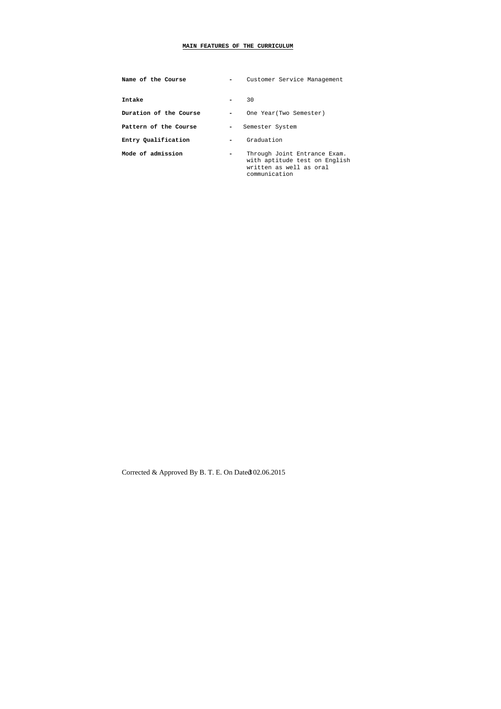## **MAIN FEATURES OF THE CURRICULUM**

| Name of the Course     |   | Customer Service Management                                                                               |
|------------------------|---|-----------------------------------------------------------------------------------------------------------|
| Intake                 |   | 30                                                                                                        |
| Duration of the Course |   | One Year (Two Semester)                                                                                   |
| Pattern of the Course  | - | Semester System                                                                                           |
| Entry Qualification    |   | Graduation                                                                                                |
| Mode of admission      |   | Through Joint Entrance Exam.<br>with aptitude test on English<br>written as well as oral<br>communication |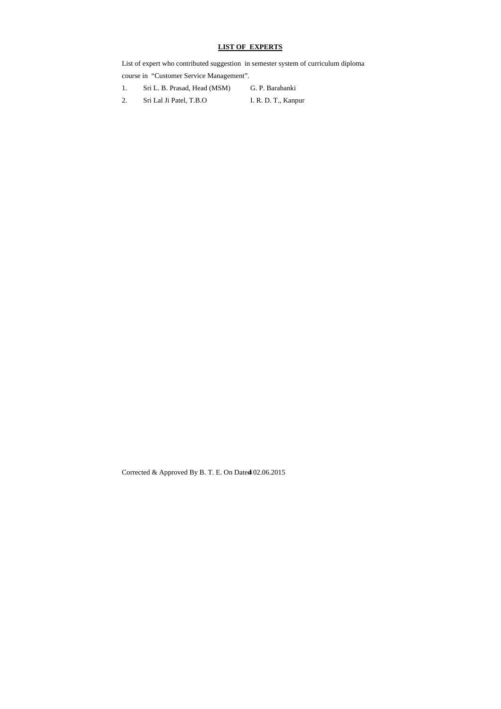# **LIST OF EXPERTS**

- 1. Sri L. B. Prasad, Head (MSM) G. P. Barabanki
- 2. Sri Lal Ji Patel, T.B.O I. R. D. T., Kanpur

Corrected & Approved By B. T. E. On Dated  $02.06.2015$ 

List of expert who contributed suggestion in semester system of curriculum diploma course in "Customer Service Management".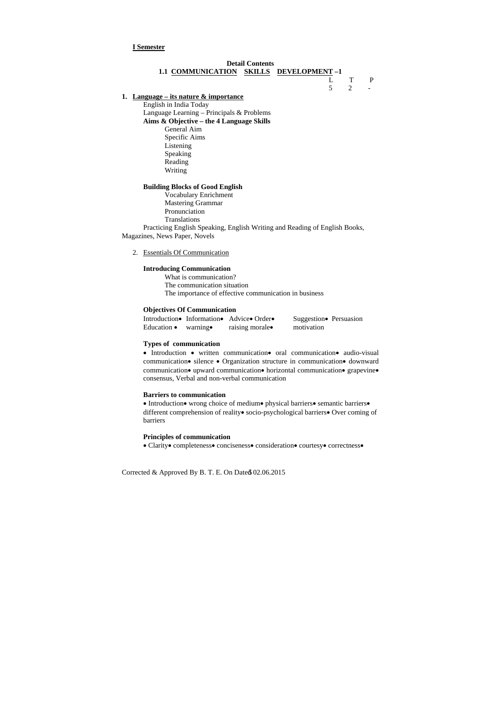# **Detail Contents 1.1 COMMUNICATION SKILLS DEVELOPMENT –1** L T P  $5\qquad 2\qquad -$

## **I Semester**

## **1. Language – its nature & importance**

English in India Today Language Learning – Principals & Problems **Aims & Objective – the 4 Language Skills**  General Aim Specific Aims Listening Speaking Reading Writing

## **Building Blocks of Good English**

 Vocabulary Enrichment Mastering Grammar Pronunciation Translations

 Practicing English Speaking, English Writing and Reading of English Books, Magazines, News Paper, Novels

• Introduction • written communication oral communication audio-visual communication · silence · Organization structure in communication · downward communication • upward communication • horizontal communication • grapevine • consensus, Verbal and non-verbal communication

## 2. Essentials Of Communication

## **Introducing Communication**

• Introduction • wrong choice of medium • physical barriers • semantic barriers • different comprehension of reality socio-psychological barriers Over coming of barriers

What is communication? The communication situation The importance of effective communication in business

## **Objectives Of Communication**

Introduction Information Advice Order Suggestion Persuasion Education • warning • raising morale **motivation** 

## **Types of communication**

## **Barriers to communication**

#### **Principles of communication**

• Clarity• completeness• conciseness• consideration• courtesy• correctness•

Corrected & Approved By B. T. E. On Date  $602.06.2015$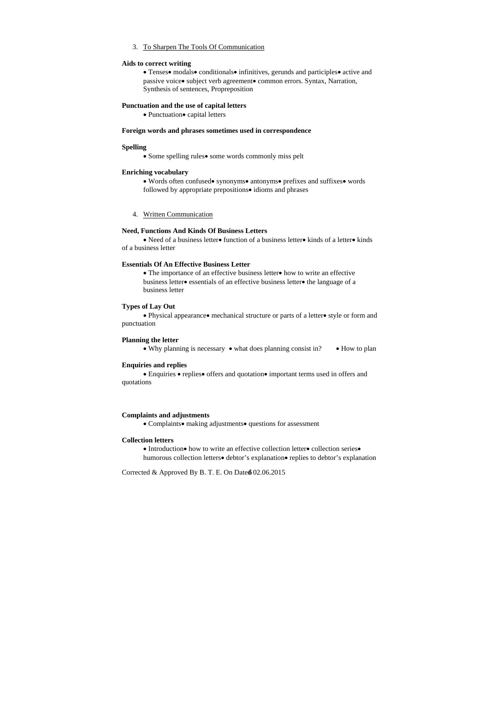## 3. To Sharpen The Tools Of Communication

## **Aids to correct writing**

• Tenses• modals• conditionals• infinitives, gerunds and participles• active and passive voice. subject verb agreement. common errors. Syntax, Narration, Synthesis of sentences, Propreposition

## **Punctuation and the use of capital letters**

• Punctuation• capital letters

#### **Foreign words and phrases sometimes used in correspondence**

• Need of a business letter• function of a business letter• kinds of a letter• kinds of a business letter

## **Spelling**

• Some spelling rules • some words commonly miss pelt

#### **Enriching vocabulary**

• Words often confused • synonyms • antonyms • prefixes and suffixes • words followed by appropriate prepositions• idioms and phrases

• The importance of an effective business letter • how to write an effective business letter essentials of an effective business letter the language of a business letter

• Physical appearance • mechanical structure or parts of a letter • style or form and punctuation

## 4. Written Communication

• Enquiries • replies • offers and quotation • important terms used in offers and quotations

## **Need, Functions And Kinds Of Business Letters**

## **Essentials Of An Effective Business Letter**

## **Types of Lay Out**

#### **Planning the letter**

• Why planning is necessary • what does planning consist in? • How to plan

## **Enquiries and replies**

#### **Complaints and adjustments**

• Complaints • making adjustments • questions for assessment

## **Collection letters**

• Introduction • how to write an effective collection letter • collection series • humorous collection letters **debtor**'s explanation replies to debtor's explanation

Corrected & Approved By B. T. E. On Date $\&$  02.06.2015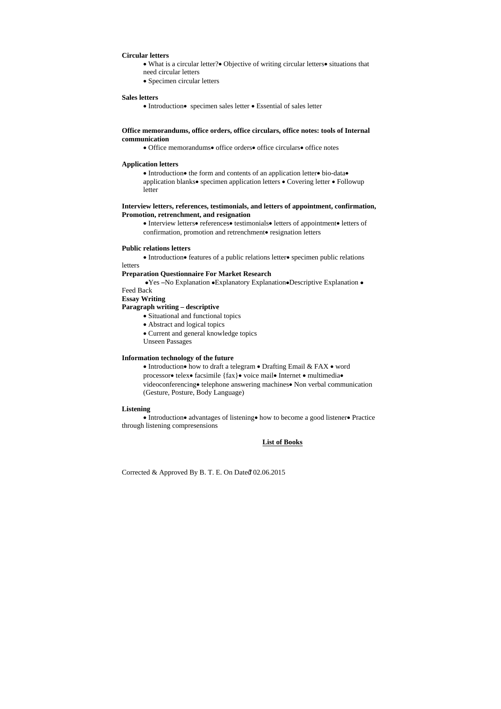## **Circular letters**

- What is a circular letter? Objective of writing circular letters situations that need circular letters
- Specimen circular letters

#### **Sales letters**

• Introduction • specimen sales letter • Essential of sales letter

 $\bullet$  Introduction  $\bullet$  the form and contents of an application letter $\bullet$  bio-data $\bullet$ application blanks • specimen application letters • Covering letter • Followup letter

## **Office memorandums, office orders, office circulars, office notes: tools of Internal communication**

• Office memorandums• office orders• office circulars• office notes

#### **Application letters**

**•Yes -No Explanation •Explanatory Explanation•Descriptive Explanation •** Feed Back

- Situational and functional topics
- Abstract and logical topics

• Current and general knowledge topics

## **Interview letters, references, testimonials, and letters of appointment, confirmation, Promotion, retrenchment, and resignation**

• Interview letters• references• testimonials• letters of appointment• letters of confirmation, promotion and retrenchment• resignation letters

• Introduction • how to draft a telegram • Drafting Email & FAX • word processor • telex • facsimile {fax} • voice mail • Internet • multimedia • videoconferencing • telephone answering machines • Non verbal communication (Gesture, Posture, Body Language)

• Introduction• advantages of listening • how to become a good listener • Practice through listening compresensions

## **Public relations letters**

• Introduction • features of a public relations letter • specimen public relations

## letters **Preparation Questionnaire For Market Research**

**Essay Writing** 

# **Paragraph writing – descriptive**

Unseen Passages

## **Information technology of the future**

#### **Listening**

#### **List of Books**

Corrected & Approved By B. T. E. On Dated 02.06.2015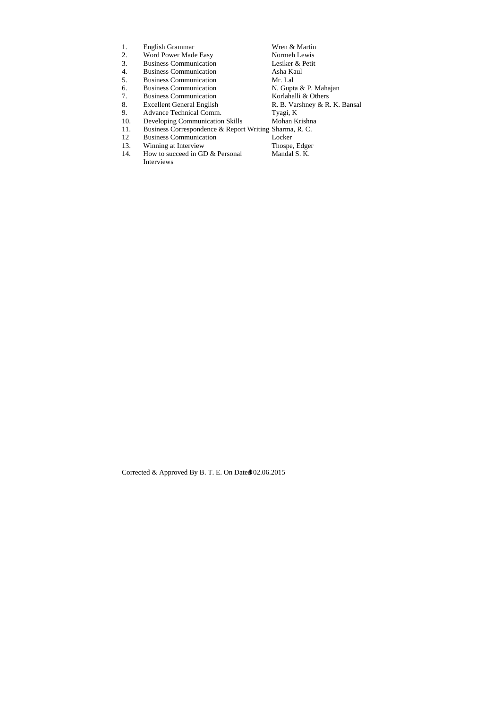| 1.  | English Grammar                                        | Wren & Martin                 |
|-----|--------------------------------------------------------|-------------------------------|
| 2.  | Word Power Made Easy                                   | Normeh Lewis                  |
| 3.  | <b>Business Communication</b>                          | Lesiker & Petit               |
| 4.  | <b>Business Communication</b>                          | Asha Kaul                     |
| 5.  | <b>Business Communication</b>                          | Mr. Lal                       |
| 6.  | <b>Business Communication</b>                          | N. Gupta & P. Mahajan         |
| 7.  | <b>Business Communication</b>                          | Korlahalli & Others           |
| 8.  | <b>Excellent General English</b>                       | R. B. Varshney & R. K. Bansal |
| 9.  | Advance Technical Comm.                                | Tyagi, K                      |
| 10. | <b>Developing Communication Skills</b>                 | Mohan Krishna                 |
| 11. | Business Correspondence & Report Writing Sharma, R. C. |                               |
| 12  | <b>Business Communication</b>                          | Locker                        |
| 13. | Winning at Interview                                   | Thospe, Edger                 |
| 14. | How to succeed in GD & Personal                        | Mandal S. K.                  |
|     | Interviews                                             |                               |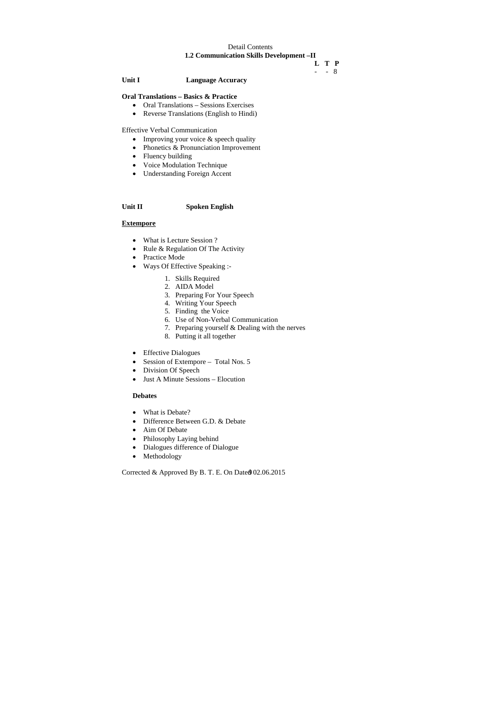# Detail Contents

**1.2 Communication Skills Development –II** 

 **L T P** 

- - 8

**Unit I Language Accuracy** 

# **Oral Translations – Basics & Practice**

- Improving your voice & speech quality
- Phonetics & Pronunciation Improvement
- Fluency building
- Voice Modulation Technique
- Understanding Foreign Accent
- Oral Translations Sessions Exercises
- Reverse Translations (English to Hindi)

Effective Verbal Communication

- What is Lecture Session ?
- Rule & Regulation Of The Activity
- Practice Mode
- Ways Of Effective Speaking :-
	- 1. Skills Required
	- 2. AIDA Model
	- 3. Preparing For Your Speech
	- 4. Writing Your Speech
	- 5. Finding the Voice
	- 6. Use of Non-Verbal Communication
	- 7. Preparing yourself & Dealing with the nerves
	- 8. Putting it all together
- Effective Dialogues
- Session of Extempore Total Nos. 5
- Division Of Speech
- Just A Minute Sessions Elocution

# **Unit II Spoken English**

## **Extempore**

## **Debates**

- What is Debate?
- Difference Between G.D. & Debate
- Aim Of Debate
- Philosophy Laying behind
- Dialogues difference of Dialogue
- Methodology

Corrected & Approved By B. T. E. On Date @ 02.06.2015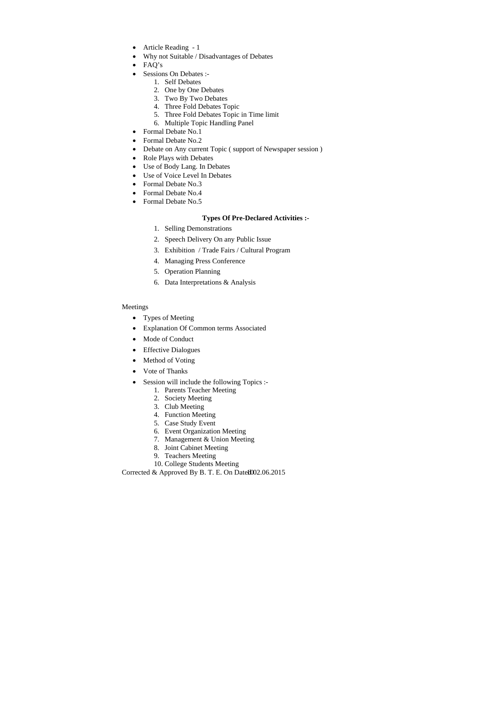- Article Reading 1
- Why not Suitable / Disadvantages of Debates
- FAQ's
- Sessions On Debates :-
	- 1. Self Debates
	- 2. One by One Debates
	- 3. Two By Two Debates
	- 4. Three Fold Debates Topic
	- 5. Three Fold Debates Topic in Time limit
	- 6. Multiple Topic Handling Panel
- Formal Debate No.1
- Formal Debate No.2
- Debate on Any current Topic ( support of Newspaper session )
- Role Plays with Debates
- Use of Body Lang. In Debates
- Use of Voice Level In Debates
- Formal Debate No.3
- Formal Debate No.4
- Formal Debate No.5

## **Types Of Pre-Declared Activities :-**

- Types of Meeting
- Explanation Of Common terms Associated
- Mode of Conduct
- Effective Dialogues
- Method of Voting
- Vote of Thanks
- Session will include the following Topics :-
	- 1. Parents Teacher Meeting
	- 2. Society Meeting
	- 3. Club Meeting
	- 4. Function Meeting
	- 5. Case Study Event
	- 6. Event Organization Meeting
	- 7. Management & Union Meeting
	- 8. Joint Cabinet Meeting
	- 9. Teachers Meeting
	- 10. College Students Meeting

Corrected & Approved By B. T. E. On Date $1002.06.2015$ 

- 1. Selling Demonstrations
- 2. Speech Delivery On any Public Issue
- 3. Exhibition / Trade Fairs / Cultural Program
- 4. Managing Press Conference
- 5. Operation Planning
- 6. Data Interpretations & Analysis

# Meetings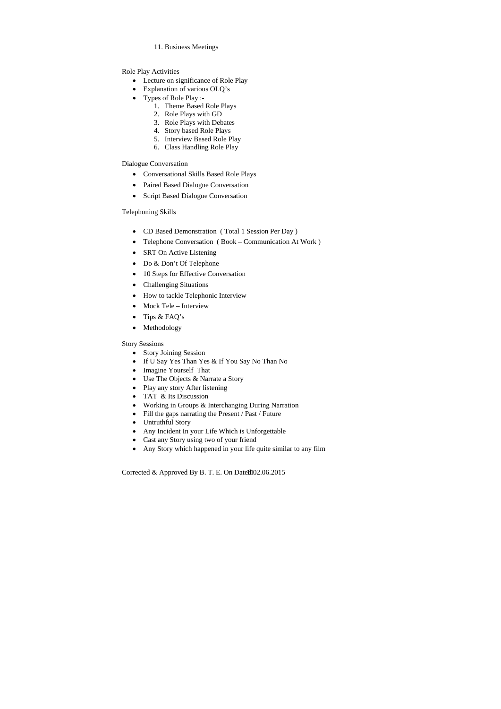11. Business Meetings

Role Play Activities

- Conversational Skills Based Role Plays
- Paired Based Dialogue Conversation
- Script Based Dialogue Conversation
- Lecture on significance of Role Play
- Explanation of various OLQ's
- Types of Role Play :-
	- 1. Theme Based Role Plays
	- 2. Role Plays with GD
	- 3. Role Plays with Debates
	- 4. Story based Role Plays
	- 5. Interview Based Role Play
	- 6. Class Handling Role Play

- CD Based Demonstration ( Total 1 Session Per Day )
- Telephone Conversation ( Book Communication At Work )
- SRT On Active Listening
- Do & Don't Of Telephone
- 10 Steps for Effective Conversation
- Challenging Situations
- How to tackle Telephonic Interview
- Mock Tele Interview
- Tips & FAQ's
- Methodology

Dialogue Conversation

# Telephoning Skills

- Story Joining Session
- If U Say Yes Than Yes & If You Say No Than No
- Imagine Yourself That
- Use The Objects & Narrate a Story
- Play any story After listening
- TAT & Its Discussion
- Working in Groups & Interchanging During Narration
- Fill the gaps narrating the Present / Past / Future
- Untruthful Story
- Any Incident In your Life Which is Unforgettable
- Cast any Story using two of your friend
- Any Story which happened in your life quite similar to any film

Corrected & Approved By B. T. E. On Date $t$ ll02.06.2015

Story Sessions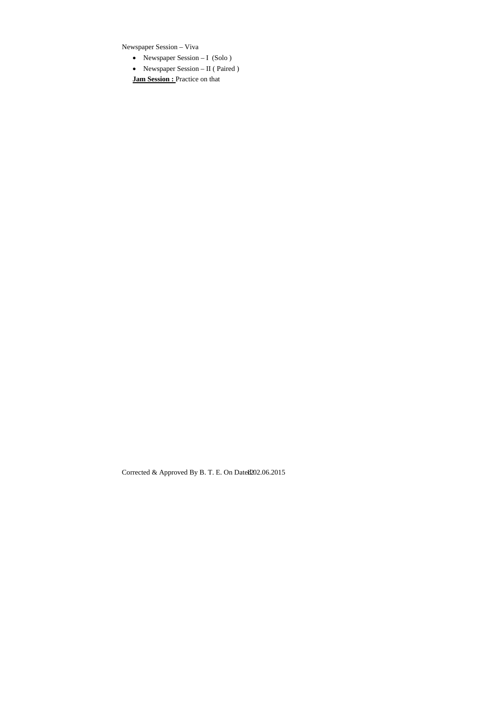Newspaper Session – Viva

- Newspaper Session I (Solo )
- Newspaper Session II ( Paired )

**Jam Session :** Practice on that

Corrected & Approved By B. T. E. On Datel $202.06.2015$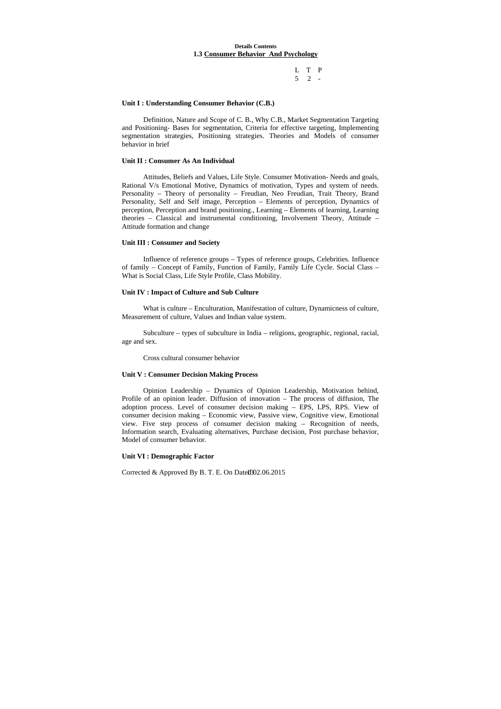## **Details Contents 1.3 Consumer Behavior And Psychology**

# L T P 5 2 -

#### **Unit I : Understanding Consumer Behavior (C.B.)**

 Definition, Nature and Scope of C. B., Why C.B., Market Segmentation Targeting and Positioning- Bases for segmentation, Criteria for effective targeting, Implementing segmentation strategies, Positioning strategies. Theories and Models of consumer behavior in brief

#### **Unit II : Consumer As An Individual**

 Attitudes, Beliefs and Values, Life Style. Consumer Motivation- Needs and goals, Rational V/s Emotional Motive, Dynamics of motivation, Types and system of needs. Personality – Theory of personality – Freudian, Neo Freudian, Trait Theory, Brand Personality, Self and Self image, Perception – Elements of perception, Dynamics of perception, Perception and brand positioning., Learning – Elements of learning, Learning theories – Classical and instrumental conditioning, Involvement Theory, Attitude – Attitude formation and change

## **Unit III : Consumer and Society**

 Influence of reference groups – Types of reference groups, Celebrities. Influence of family – Concept of Family, Function of Family, Family Life Cycle. Social Class – What is Social Class, Life Style Profile, Class Mobility.

## **Unit IV : Impact of Culture and Sub Culture**

 What is culture – Enculturation, Manifestation of culture, Dynamicness of culture, Measurement of culture, Values and Indian value system.

 Subculture – types of subculture in India – religions, geographic, regional, racial, age and sex.

Cross cultural consumer behavior

## **Unit V : Consumer Decision Making Process**

 Opinion Leadership – Dynamics of Opinion Leadership, Motivation behind, Profile of an opinion leader. Diffusion of innovation – The process of diffusion, The adoption process. Level of consumer decision making – EPS, LPS, RPS. View of consumer decision making – Economic view, Passive view, Cognitive view, Emotional view. Five step process of consumer decision making – Recognition of needs, Information search, Evaluating alternatives, Purchase decision, Post purchase behavior, Model of consumer behavior.

#### **Unit VI : Demographic Factor**

Corrected & Approved By B. T. E. On Date $1802.06.2015$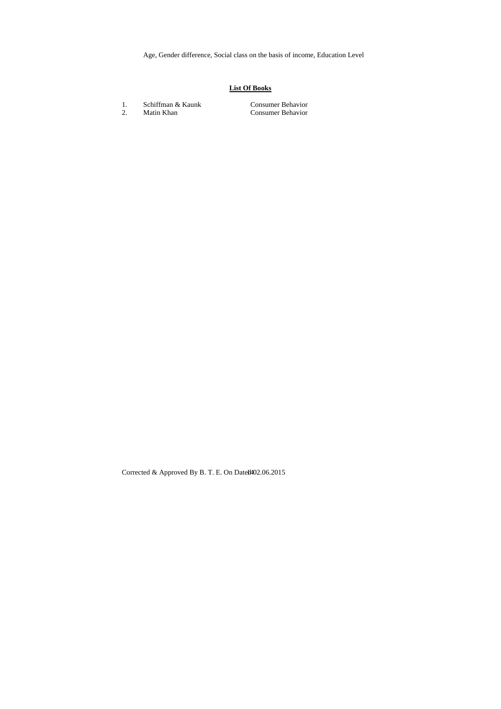Age, Gender difference, Social class on the basis of income, Education Level

# **List Of Books**

- 1. Schiffman & Kaunk Consumer Behavior
- 

2. Matin Khan Consumer Behavior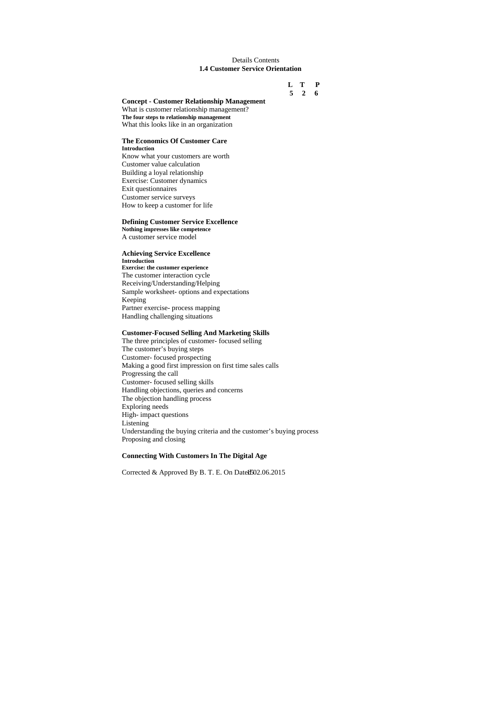## Details Contents **1.4 Customer Service Orientation**

# **L T P 5 2 6**

## **Concept - Customer Relationship Management**

What is customer relationship management? **The four steps to relationship management**  What this looks like in an organization

#### **The Economics Of Customer Care Introduction**

Know what your customers are worth Customer value calculation Building a loyal relationship Exercise: Customer dynamics Exit questionnaires Customer service surveys How to keep a customer for life

## **Defining Customer Service Excellence**

**Nothing impresses like competence**  A customer service model

## **Achieving Service Excellence Introduction**

**Exercise: the customer experience**  The customer interaction cycle Receiving/Understanding/Helping Sample worksheet- options and expectations Keeping Partner exercise- process mapping Handling challenging situations

## **Customer-Focused Selling And Marketing Skills**

The three principles of customer- focused selling The customer's buying steps Customer- focused prospecting Making a good first impression on first time sales calls Progressing the call Customer- focused selling skills Handling objections, queries and concerns The objection handling process Exploring needs High- impact questions Listening Understanding the buying criteria and the customer's buying process Proposing and closing

## **Connecting With Customers In The Digital Age**

Corrected & Approved By B. T. E. On Datel $502.06.2015$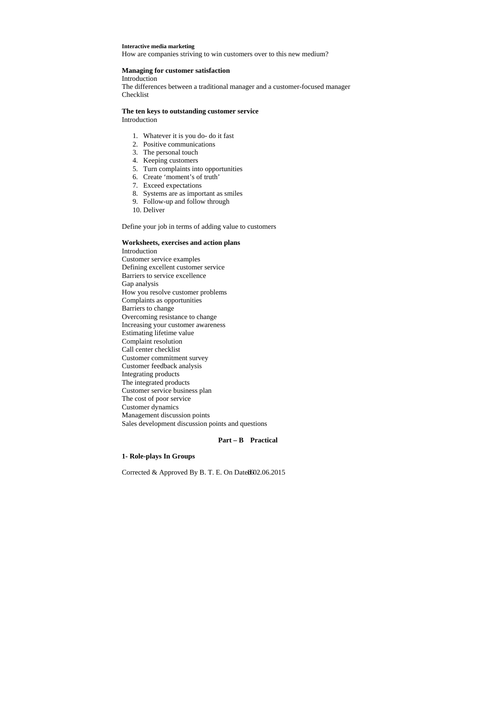#### **Interactive media marketing**

How are companies striving to win customers over to this new medium?

## **Managing for customer satisfaction**

Introduction

The differences between a traditional manager and a customer-focused manager Checklist

# **The ten keys to outstanding customer service**

Introduction

- 1. Whatever it is you do- do it fast
- 2. Positive communications
- 3. The personal touch
- 4. Keeping customers
- 5. Turn complaints into opportunities
- 6. Create 'moment's of truth'
- 7. Exceed expectations
- 8. Systems are as important as smiles
- 9. Follow-up and follow through
- 10. Deliver

Define your job in terms of adding value to customers

## **Worksheets, exercises and action plans**

Introduction Customer service examples Defining excellent customer service Barriers to service excellence Gap analysis How you resolve customer problems Complaints as opportunities Barriers to change Overcoming resistance to change Increasing your customer awareness Estimating lifetime value Complaint resolution Call center checklist Customer commitment survey Customer feedback analysis Integrating products The integrated products Customer service business plan The cost of poor service Customer dynamics Management discussion points Sales development discussion points and questions

## **Part – B Practical**

## **1- Role-plays In Groups**

Corrected & Approved By B. T. E. On Datel $1602.06.2015$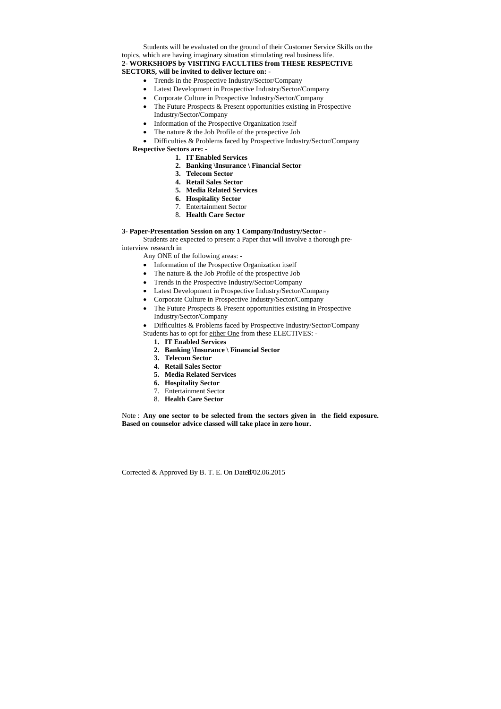Students will be evaluated on the ground of their Customer Service Skills on the topics, which are having imaginary situation stimulating real business life. **2- WORKSHOPS by VISITING FACULTIES from THESE RESPECTIVE SECTORS, will be invited to deliver lecture on: -** 

- Trends in the Prospective Industry/Sector/Company
- Latest Development in Prospective Industry/Sector/Company
- Corporate Culture in Prospective Industry/Sector/Company
- The Future Prospects & Present opportunities existing in Prospective Industry/Sector/Company
- Information of the Prospective Organization itself
- The nature  $&$  the Job Profile of the prospective Job
- Difficulties & Problems faced by Prospective Industry/Sector/Company **Respective Sectors are: -** 
	- **1. IT Enabled Services**
	- **2. Banking \Insurance \ Financial Sector**
	- **3. Telecom Sector**
	- **4. Retail Sales Sector**
	- **5. Media Related Services**
	- **6. Hospitality Sector**
	- 7. Entertainment Sector
	- 8. **Health Care Sector**

- Information of the Prospective Organization itself
- The nature & the Job Profile of the prospective Job
- Trends in the Prospective Industry/Sector/Company
- Latest Development in Prospective Industry/Sector/Company
- Corporate Culture in Prospective Industry/Sector/Company
- The Future Prospects & Present opportunities existing in Prospective Industry/Sector/Company
- Difficulties & Problems faced by Prospective Industry/Sector/Company
- Students has to opt for either One from these ELECTIVES:
	- **1. IT Enabled Services**
	- **2. Banking \Insurance \ Financial Sector**
	- **3. Telecom Sector**
	- **4. Retail Sales Sector**
	- **5. Media Related Services**
	- **6. Hospitality Sector**
	- 7. Entertainment Sector
	- 8. **Health Care Sector**

## **3- Paper-Presentation Session on any 1 Company/Industry/Sector -**

 Students are expected to present a Paper that will involve a thorough preinterview research in

Any ONE of the following areas: -

Note : **Any one sector to be selected from the sectors given in the field exposure. Based on counselor advice classed will take place in zero hour.** 

Corrected & Approved By B. T. E. On Datel $702.06.2015$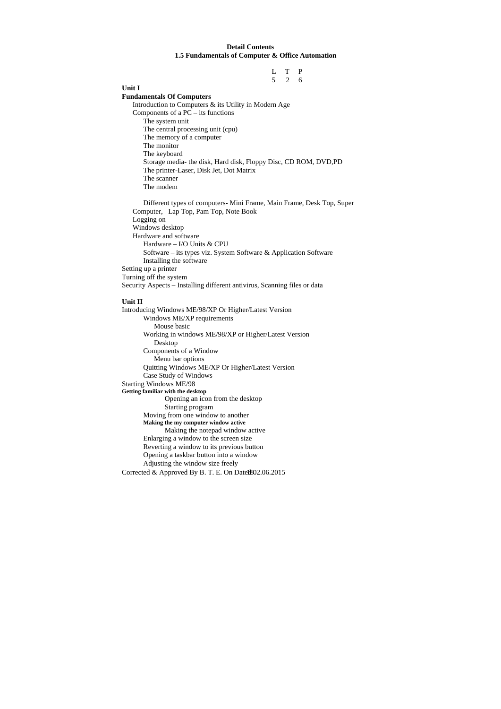## **Detail Contents 1.5 Fundamentals of Computer & Office Automation**

 L T P 5 2 6

**Unit I** 

## **Fundamentals Of Computers**

Introduction to Computers & its Utility in Modern Age Components of a PC – its functions The system unit The central processing unit (cpu) The memory of a computer The monitor The keyboard Storage media- the disk, Hard disk, Floppy Disc, CD ROM, DVD,PD The printer-Laser, Disk Jet, Dot Matrix The scanner The modem

Different types of computers- Mini Frame, Main Frame, Desk Top, Super Computer, Lap Top, Pam Top, Note Book Logging on Windows desktop Hardware and software Hardware – I/O Units & CPU Software – its types viz. System Software & Application Software Installing the software Setting up a printer Turning off the system Security Aspects – Installing different antivirus, Scanning files or data

Corrected & Approved By B. T. E. On Date $1802.06.2015$ Introducing Windows ME/98/XP Or Higher/Latest Version Windows ME/XP requirements Mouse basic Working in windows ME/98/XP or Higher/Latest Version Desktop Components of a Window Menu bar options Quitting Windows ME/XP Or Higher/Latest Version Case Study of Windows Starting Windows ME/98 **Getting familiar with the desktop**  Opening an icon from the desktop Starting program Moving from one window to another  **Making the my computer window active**  Making the notepad window active Enlarging a window to the screen size Reverting a window to its previous button Opening a taskbar button into a window Adjusting the window size freely

# **Unit II**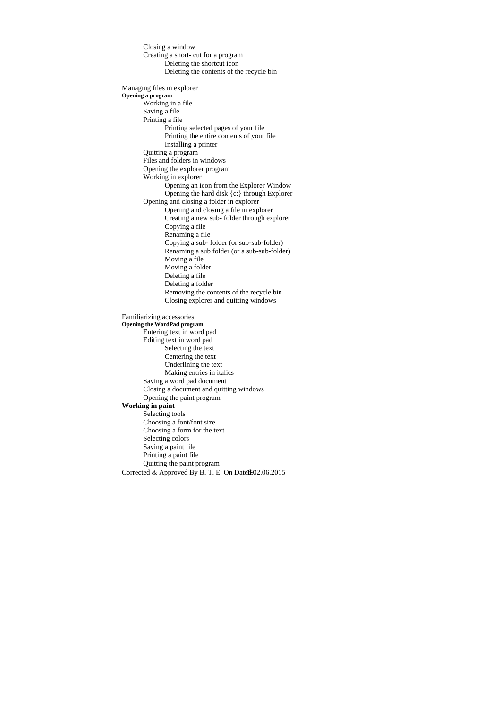Corrected & Approved By B. T. E. On Datel 902.06.2015 Closing a window Creating a short- cut for a program Deleting the shortcut icon Deleting the contents of the recycle bin Managing files in explorer **Opening a program**  Working in a file Saving a file Printing a file Printing selected pages of your file Printing the entire contents of your file Installing a printer Quitting a program Files and folders in windows Opening the explorer program Working in explorer Opening an icon from the Explorer Window Opening the hard disk {c:} through Explorer Opening and closing a folder in explorer Opening and closing a file in explorer Creating a new sub- folder through explorer Copying a file Renaming a file Copying a sub- folder (or sub-sub-folder) Renaming a sub folder (or a sub-sub-folder) Moving a file Moving a folder Deleting a file Deleting a folder Removing the contents of the recycle bin Closing explorer and quitting windows Familiarizing accessories **Opening the WordPad program**  Entering text in word pad Editing text in word pad Selecting the text Centering the text Underlining the text Making entries in italics Saving a word pad document Closing a document and quitting windows Opening the paint program **Working in paint**  Selecting tools Choosing a font/font size Choosing a form for the text Selecting colors Saving a paint file Printing a paint file Quitting the paint program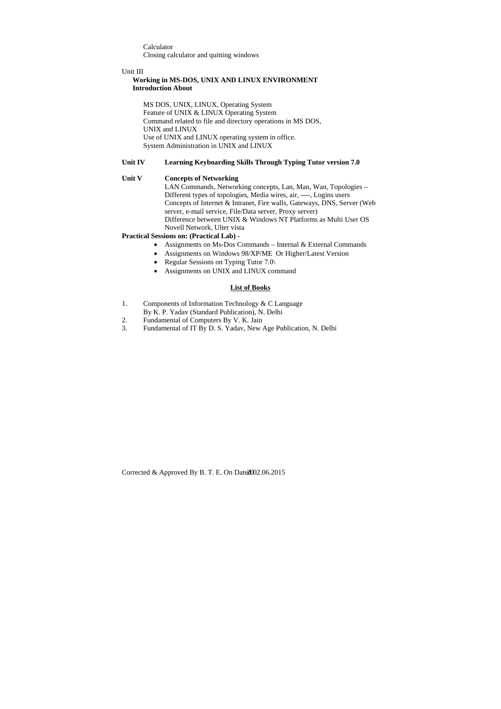Calculator Closing calculator and quitting windows

## Unit III

# **Working in MS-DOS, UNIX AND LINUX ENVIRONMENT Introduction About**

 MS DOS, UNIX, LINUX, Operating System Feature of UNIX & LINUX Operating System Command related to file and directory operations in MS DOS, UNIX and LINUX Use of UNIX and LINUX operating system in office. System Administration in UNIX and LINUX

# **Unit IV Learning Keyboarding Skills Through Typing Tutor version 7.0**

# **Unit V Concepts of Networking**

- Assignments on Ms-Dos Commands Internal & External Commands
- Assignments on Windows 98/XP/ME Or Higher/Latest Version
- Regular Sessions on Typing Tutor 7.0\
- Assignments on UNIX and LINUX command

LAN Commands, Networking concepts, Lan, Man, Wan, Topologies – Different types of topologies, Media wires, air, ----, Logins users Concepts of Internet & Intranet, Fire walls, Gateways, DNS, Server (Web server, e-mail service, File/Data server, Proxy server) Difference between UNIX & Windows NT Platforms as Multi User OS Novell Network, Ulter vista

# **Practical Sessions on: (Practical Lab) -**

# **List of Books**

- 1. Components of Information Technology & C Language
- By K. P. Yadav (Standard Publication), N. Delhi
- 2. Fundamental of Computers By V. K. Jain
- 3. Fundamental of IT By D. S. Yadav, New Age Publication, N. Delhi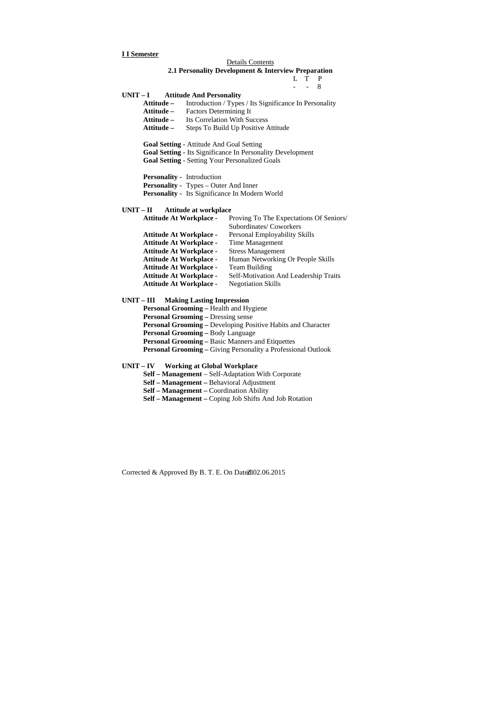## **I I Semester**

 L T P  $-$  - 8

#### Details Contents

## **2.1 Personality Development & Interview Preparation**

# **UNIT – I Attitude And Personality Attitude –** Introduction / Types / Its Significance In Personality **Attitude –** Factors Determining It **Attitude –** Its Correlation With Success

**Attitude –** Steps To Build Up Positive Attitude

**Goal Setting -** Attitude And Goal Setting

**Goal Setting -** Its Significance In Personality Development

**Goal Setting** - Setting Your Personalized Goals

**Personality -** Introduction **Personality -** Types – Outer And Inner **Personality -** Its Significance In Modern World

## **UNIT – II Attitude at workplace**

| Proving To The Expectations Of Seniors/ |
|-----------------------------------------|
| Subordinates/Coworkers                  |
| Personal Employability Skills           |
| Time Management                         |
| <b>Stress Management</b>                |
| Human Networking Or People Skills       |
| <b>Team Building</b>                    |
| Self-Motivation And Leadership Traits   |
| <b>Negotiation Skills</b>               |
|                                         |

## **UNIT – III Making Lasting Impression**

**Personal Grooming –** Health and Hygiene **Personal Grooming –** Dressing sense **Personal Grooming –** Developing Positive Habits and Character **Personal Grooming –** Body Language **Personal Grooming –** Basic Manners and Etiquettes **Personal Grooming –** Giving Personality a Professional Outlook

## **UNIT – IV Working at Global Workplace**

**Self – Management** – Self-Adaptation With Corporate

- **Self Management –** Behavioral Adjustment
- **Self Management –** Coordination Ability
- **Self Management –** Coping Job Shifts And Job Rotation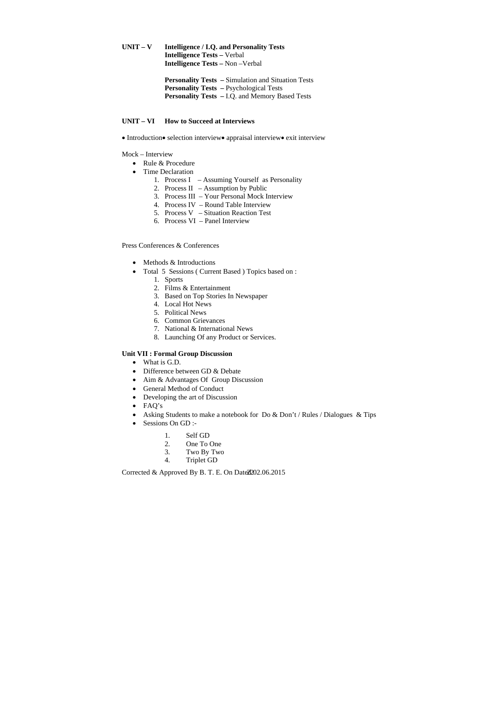UNIT – V Intelligence / I.Q. and Personality Tests **Intelligence Tests –** Verbal **Intelligence Tests –** Non –Verbal

> **Personality Tests –** Simulation and Situation Tests **Personality Tests –** Psychological Tests **Personality Tests –** I.Q. and Memory Based Tests

## **UNIT – VI How to Succeed at Interviews**

• Introduction • selection interview • appraisal interview • exit interview

- Rule & Procedure
- Time Declaration
	- 1. Process I Assuming Yourself as Personality
	- 2. Process II Assumption by Public
	- 3. Process III Your Personal Mock Interview
	- 4. Process IV Round Table Interview
	- 5. Process V Situation Reaction Test
	- 6. Process VI Panel Interview

Mock – Interview

- Methods & Introductions
- Total 5 Sessions ( Current Based ) Topics based on :
	- 1. Sports
	- 2. Films & Entertainment
	- 3. Based on Top Stories In Newspaper
	- 4. Local Hot News
	- 5. Political News
	- 6. Common Grievances
	- 7. National & International News
	- 8. Launching Of any Product or Services.

- What is G.D.
- Difference between GD & Debate
- Aim & Advantages Of Group Discussion
- General Method of Conduct
- Developing the art of Discussion
- FAQ's
- Asking Students to make a notebook for Do & Don't / Rules / Dialogues & Tips
- Sessions On GD :-
	- 1. Self GD
	- 2. One To One
	- 3. Two By Two
	- 4. Triplet GD

Corrected & Approved By B. T. E. On Date $2202.06.2015$ 

Press Conferences & Conferences

## **Unit VII : Formal Group Discussion**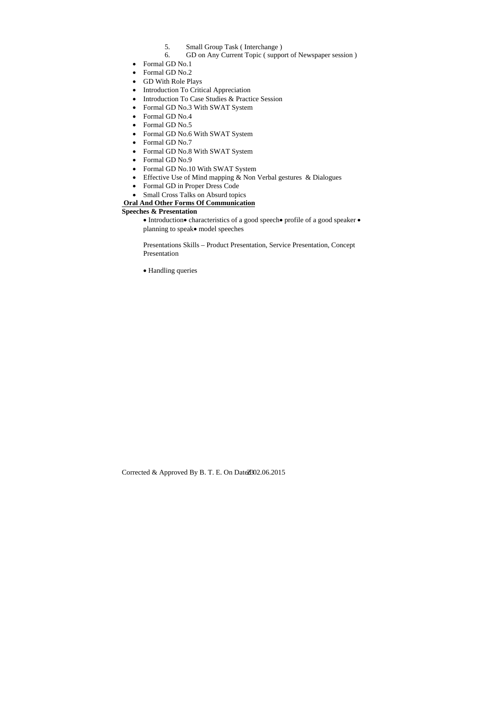- 5. Small Group Task ( Interchange )
- 6. GD on Any Current Topic ( support of Newspaper session )
- Formal GD No.1
- Formal GD No.2
- GD With Role Plays
- Introduction To Critical Appreciation
- Introduction To Case Studies & Practice Session
- Formal GD No.3 With SWAT System
- Formal GD No.4
- Formal GD No.5
- Formal GD No.6 With SWAT System
- Formal GD No.7
- Formal GD No.8 With SWAT System
- Formal GD No.9
- Formal GD No.10 With SWAT System
- Effective Use of Mind mapping & Non Verbal gestures & Dialogues
- Formal GD in Proper Dress Code
- Small Cross Talks on Absurd topics

# **Oral And Other Forms Of Communication**

# **Speeches & Presentation**

• Introduction • characteristics of a good speech • profile of a good speaker • planning to speak • model speeches

 Presentations Skills – Product Presentation, Service Presentation, Concept Presentation

Handling queries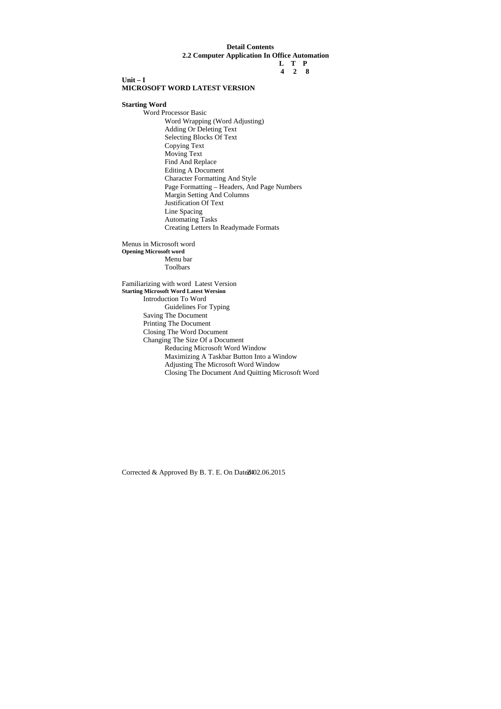# **Detail Contents 2.2 Computer Application In Office Automation**

## **L T P 4 2 8**

# **Unit – I MICROSOFT WORD LATEST VERSION**

**Starting Word** 

Word Processor Basic Word Wrapping (Word Adjusting) Adding Or Deleting Text Selecting Blocks Of Text Copying Text Moving Text Find And Replace Editing A Document Character Formatting And Style Page Formatting – Headers, And Page Numbers Margin Setting And Columns Justification Of Text Line Spacing Automating Tasks Creating Letters In Readymade Formats

Menus in Microsoft word **Opening Microsoft word**  Menu bar Toolbars

Familiarizing with word Latest Version **Starting Microsoft Word Latest Wersion**  Introduction To Word Guidelines For Typing Saving The Document Printing The Document Closing The Word Document Changing The Size Of a Document Reducing Microsoft Word Window Maximizing A Taskbar Button Into a Window Adjusting The Microsoft Word Window Closing The Document And Quitting Microsoft Word

Corrected & Approved By B. T. E. On Date $2402.06.2015$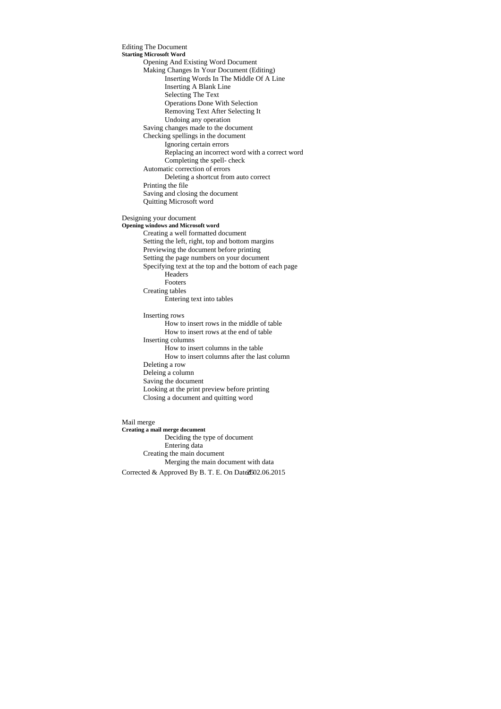Editing The Document **Starting Microsoft Word**  Opening And Existing Word Document Making Changes In Your Document (Editing) Inserting Words In The Middle Of A Line Inserting A Blank Line Selecting The Text Operations Done With Selection Removing Text After Selecting It Undoing any operation Saving changes made to the document Checking spellings in the document Ignoring certain errors Replacing an incorrect word with a correct word Completing the spell- check Automatic correction of errors Deleting a shortcut from auto correct Printing the file Saving and closing the document Quitting Microsoft word Designing your document **Opening windows and Microsoft word**  Creating a well formatted document Setting the left, right, top and bottom margins Previewing the document before printing Setting the page numbers on your document Specifying text at the top and the bottom of each page Headers Footers Creating tables Entering text into tables Inserting rows How to insert rows in the middle of table How to insert rows at the end of table Inserting columns How to insert columns in the table How to insert columns after the last column Deleting a row Deleing a column Saving the document Looking at the print preview before printing Closing a document and quitting word Mail merge

Corrected & Approved By B. T. E. On Date $2502.06.2015$ **Creating a mail merge document**  Deciding the type of document Entering data Creating the main document Merging the main document with data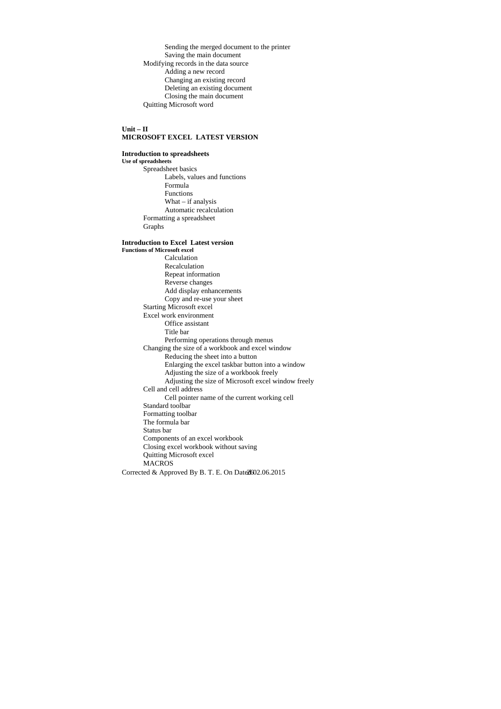Sending the merged document to the printer Saving the main document Modifying records in the data source Adding a new record Changing an existing record Deleting an existing document Closing the main document Quitting Microsoft word

## **Unit – II MICROSOFT EXCEL LATEST VERSION**

## **Introduction to spreadsheets**

**Use of spreadsheets**  Spreadsheet basics Labels, values and functions Formula Functions What – if analysis Automatic recalculation Formatting a spreadsheet Graphs

# **Introduction to Excel Latest version**

Corrected & Approved By B. T. E. On Date $2602.06.2015$ **Functions of Microsoft excel**  Calculation Recalculation Repeat information Reverse changes Add display enhancements Copy and re-use your sheet Starting Microsoft excel Excel work environment Office assistant Title bar Performing operations through menus Changing the size of a workbook and excel window Reducing the sheet into a button Enlarging the excel taskbar button into a window Adjusting the size of a workbook freely Adjusting the size of Microsoft excel window freely Cell and cell address Cell pointer name of the current working cell Standard toolbar Formatting toolbar The formula bar Status bar Components of an excel workbook Closing excel workbook without saving Quitting Microsoft excel **MACROS**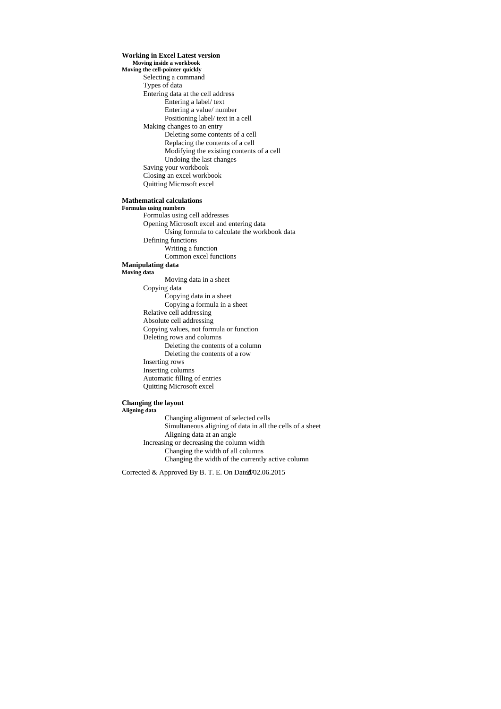**Working in Excel Latest version Moving inside a workbook Moving the cell-pointer quickly**  Selecting a command Types of data Entering data at the cell address Entering a label/ text Entering a value/ number Positioning label/ text in a cell Making changes to an entry Deleting some contents of a cell Replacing the contents of a cell Modifying the existing contents of a cell Undoing the last changes Saving your workbook Closing an excel workbook Quitting Microsoft excel

## **Mathematical calculations**

**Formulas using numbers**  Formulas using cell addresses Opening Microsoft excel and entering data Using formula to calculate the workbook data Defining functions Writing a function Common excel functions **Manipulating data Moving data**  Moving data in a sheet Copying data Copying data in a sheet Copying a formula in a sheet Relative cell addressing Absolute cell addressing Copying values, not formula or function Deleting rows and columns Deleting the contents of a column

Deleting the contents of a row

- Inserting rows
- Inserting columns
- Automatic filling of entries Quitting Microsoft excel

# **Changing the layout**

# **Aligning data**

 Changing alignment of selected cells Simultaneous aligning of data in all the cells of a sheet Aligning data at an angle Increasing or decreasing the column width Changing the width of all columns Changing the width of the currently active column

Corrected & Approved By B. T. E. On Date $2702.06.2015$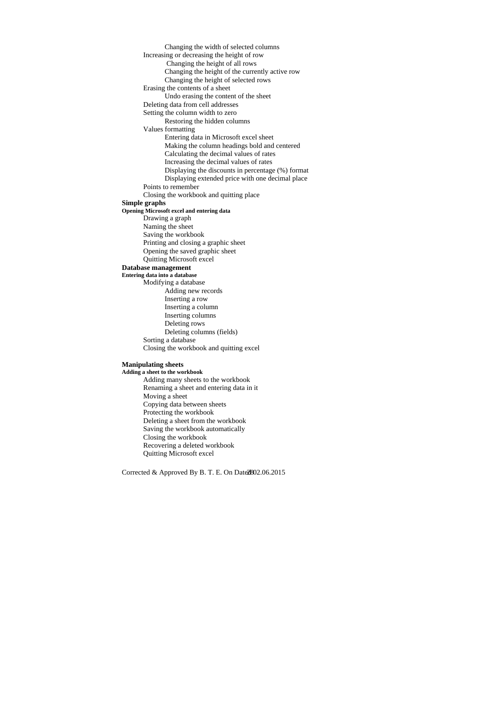Changing the width of selected columns Increasing or decreasing the height of row Changing the height of all rows Changing the height of the currently active row Changing the height of selected rows Erasing the contents of a sheet Undo erasing the content of the sheet Deleting data from cell addresses Setting the column width to zero Restoring the hidden columns Values formatting Entering data in Microsoft excel sheet Making the column headings bold and centered Calculating the decimal values of rates Increasing the decimal values of rates Displaying the discounts in percentage (%) format Displaying extended price with one decimal place Points to remember Closing the workbook and quitting place **Simple graphs Opening Microsoft excel and entering data**  Drawing a graph Naming the sheet Saving the workbook Printing and closing a graphic sheet Opening the saved graphic sheet Quitting Microsoft excel **Database management Entering data into a database**  Modifying a database Adding new records Inserting a row Inserting a column Inserting columns Deleting rows Deleting columns (fields) Sorting a database Closing the workbook and quitting excel **Manipulating sheets** 

# **Adding a sheet to the workbook**

Adding many sheets to the workbook Renaming a sheet and entering data in it Moving a sheet Copying data between sheets Protecting the workbook Deleting a sheet from the workbook Saving the workbook automatically Closing the workbook Recovering a deleted workbook Quitting Microsoft excel

Corrected & Approved By B. T. E. On Date $2802.06.2015$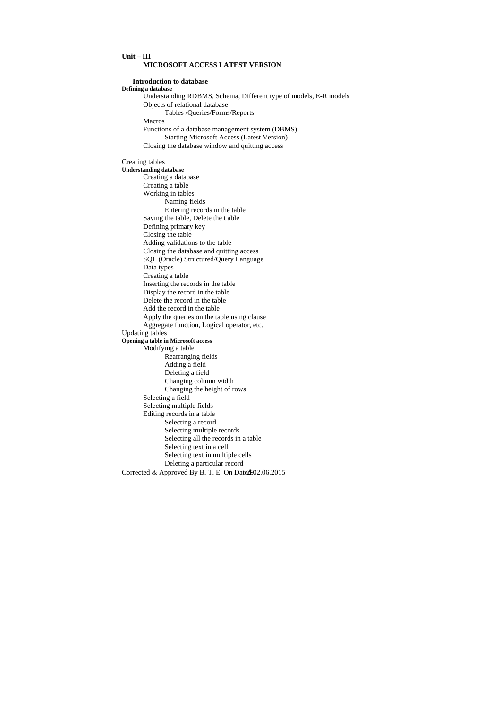# **Unit – III MICROSOFT ACCESS LATEST VERSION**

## **Introduction to database**

**Defining a database**  Understanding RDBMS, Schema, Different type of models, E-R models Objects of relational database Tables /Queries/Forms/Reports Macros Functions of a database management system (DBMS) Starting Microsoft Access (Latest Version) Closing the database window and quitting access

Creating tables

Corrected & Approved By B. T. E. On Date2002.06.2015 **Understanding database**  Creating a database Creating a table Working in tables Naming fields Entering records in the table Saving the table, Delete the t able Defining primary key Closing the table Adding validations to the table Closing the database and quitting access SQL (Oracle) Structured/Query Language Data types Creating a table Inserting the records in the table Display the record in the table Delete the record in the table Add the record in the table Apply the queries on the table using clause Aggregate function, Logical operator, etc. Updating tables **Opening a table in Microsoft access**  Modifying a table Rearranging fields Adding a field Deleting a field Changing column width Changing the height of rows Selecting a field Selecting multiple fields Editing records in a table Selecting a record Selecting multiple records Selecting all the records in a table Selecting text in a cell Selecting text in multiple cells Deleting a particular record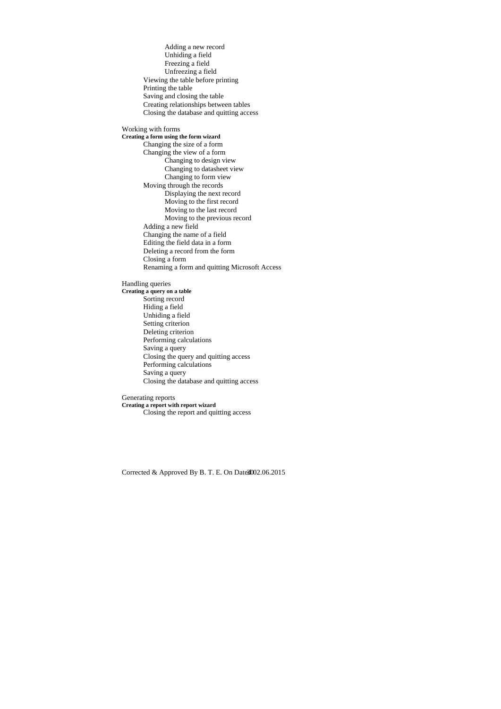Adding a new record Unhiding a field Freezing a field Unfreezing a field Viewing the table before printing Printing the table Saving and closing the table Creating relationships between tables Closing the database and quitting access Working with forms **Creating a form using the form wizard**  Changing the size of a form Changing the view of a form Changing to design view Changing to datasheet view Changing to form view Moving through the records Displaying the next record Moving to the first record Moving to the last record Moving to the previous record Adding a new field Changing the name of a field Editing the field data in a form Deleting a record from the form Closing a form Renaming a form and quitting Microsoft Access Handling queries **Creating a query on a table**  Sorting record Hiding a field Unhiding a field Setting criterion Deleting criterion Performing calculations Saving a query Closing the query and quitting access Performing calculations Saving a query Closing the database and quitting access

Generating reports **Creating a report with report wizard**  Closing the report and quitting access

Corrected & Approved By B. T. E. On Date $3002.06.2015$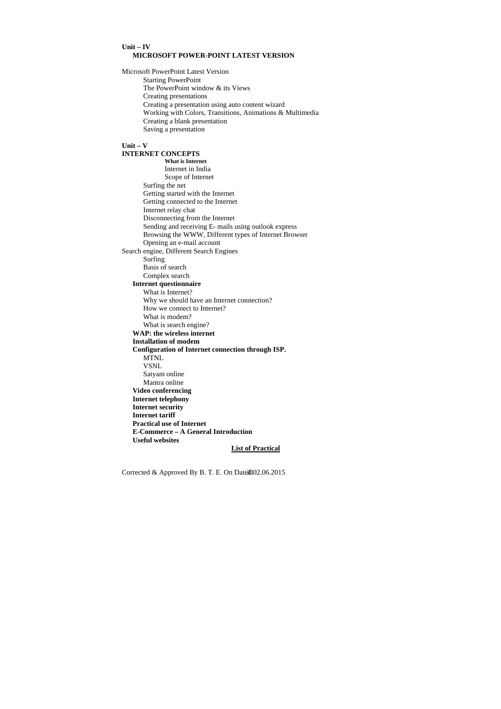## **Unit – IV MICROSOFT POWER-POINT LATEST VERSION**

Microsoft PowerPoint Latest Version Starting PowerPoint The PowerPoint window & its Views Creating presentations Creating a presentation using auto content wizard Working with Colors, Transitions, Animations & Multimedia Creating a blank presentation Saving a presentation

# **Unit – V**

**INTERNET CONCEPTS What is Internet**  Internet in India Scope of Internet Surfing the net Getting started with the Internet Getting connected to the Internet Internet relay chat Disconnecting from the Internet Sending and receiving E- mails using outlook express Browsing the WWW, Different types of Internet Browser Opening an e-mail account Search engine, Different Search Engines Surfing Basis of search Complex search **Internet questionnaire**  What is Internet? Why we should have an Internet connection? How we connect to Internet? What is modem? What is search engine? **WAP: the wireless internet Installation of modem Configuration of Internet connection through ISP.**  MTNL VSNL Satyam online Mantra online **Video conferencing Internet telephony Internet security Internet tariff Practical use of Internet E-Commerce – A General Introduction Useful websites List of Practical**

Corrected & Approved By B. T. E. On Date $d$ 102.06.2015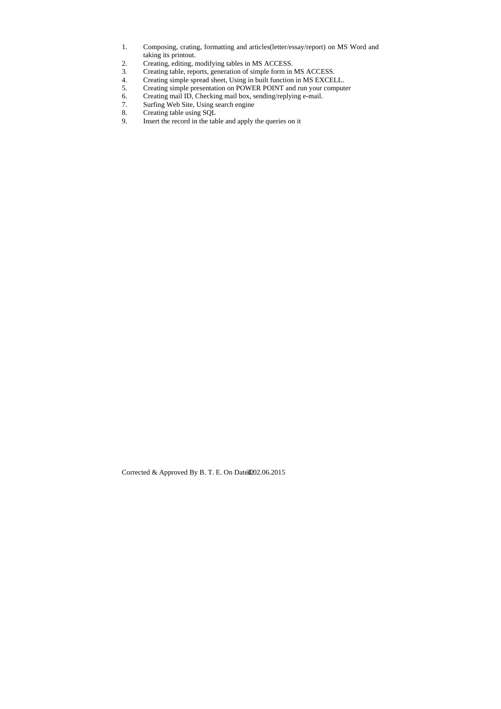- 1. Composing, crating, formatting and articles(letter/essay/report) on MS Word and taking its printout.
- 2. Creating, editing, modifying tables in MS ACCESS.
- 3. Creating table, reports, generation of simple form in MS ACCESS.
- 4. Creating simple spread sheet, Using in built function in MS EXCELL.
- 5. Creating simple presentation on POWER POINT and run your computer
- 6. Creating mail ID, Checking mail box, sending/replying e-mail.
- 7. Surfing Web Site, Using search engine
- 8. Creating table using SQL
- 9. Insert the record in the table and apply the queries on it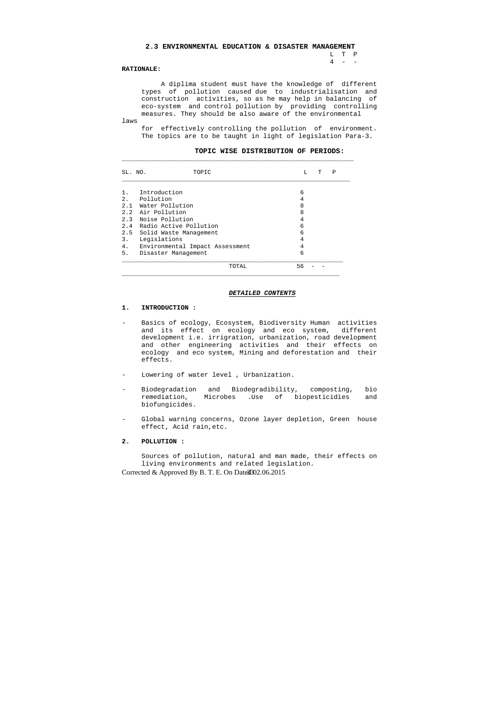L T P  $4 - -$ 

#### **2.3 ENVIRONMENTAL EDUCATION & DISASTER MANAGEMENT**

#### **RATIONALE:**

 A diplima student must have the knowledge of different types of pollution caused due to industrialisation and construction activities, so as he may help in balancing of eco-system and control pollution by providing controlling measures. They should be also aware of the environmental

laws

 for effectively controlling the pollution of environment. The topics are to be taught in light of legislation Para-3.

## **TOPIC WISE DISTRIBUTION OF PERIODS:**

| SL. NO. | TOPIC                           | L  | т | Ρ |
|---------|---------------------------------|----|---|---|
| $1$ .   | Introduction                    | 6  |   |   |
|         | 2. Pollution                    | 4  |   |   |
| 2.1     | Water Pollution                 | 8  |   |   |
|         | 2.2 Air Pollution               | 8  |   |   |
|         | 2.3 Noise Pollution             | 4  |   |   |
|         | 2.4 Radio Active Pollution      | 6  |   |   |
|         | 2.5 Solid Waste Management      | 6  |   |   |
| 3.      | Legislations                    | 4  |   |   |
| 4.      | Environmental Impact Assessment | 4  |   |   |
| 5.      | Disaster Management             | 6  |   |   |
|         | TOTAL                           | 56 |   |   |

- Basics of ecology, Ecosystem, Biodiversity Human activities and its effect on ecology and eco system, different development i.e. irrigration, urbanization, road development and other engineering activities and their effects on ecology and eco system, Mining and deforestation and their effects.
- Lowering of water level , Urbanization.
- Biodegradation and Biodegradibility, composting, bio remediation, Microbes .Use of biopesticidies and biofungicides.
- Global warning concerns, Ozone layer depletion, Green house effect, Acid rain,etc.

#### *DETAILED CONTENTS*

#### **1. INTRODUCTION :**

#### **2. POLLUTION :**

 Sources of pollution, natural and man made, their effects on living environments and related legislation.

Corrected & Approved By B. T. E. On Date $302.06.2015$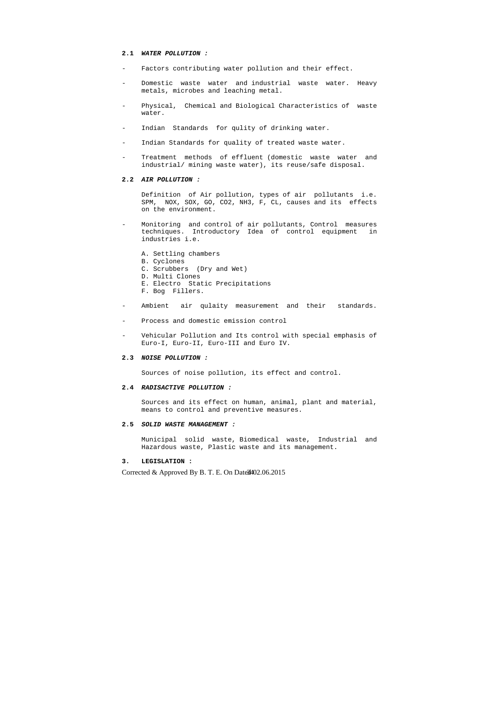#### **2.1** *WATER POLLUTION :*

- Factors contributing water pollution and their effect.
- Domestic waste water and industrial waste water. Heavy metals, microbes and leaching metal.
- Physical, Chemical and Biological Characteristics of waste water.
- Indian Standards for qulity of drinking water.
- Indian Standards for quality of treated waste water.
- Treatment methods of effluent (domestic waste water and industrial/ mining waste water), its reuse/safe disposal.

#### **2.2** *AIR POLLUTION :*

- Monitoring and control of air pollutants, Control measures techniques. Introductory Idea of control equipment in industries i.e.
	- A. Settling chambers
	- B. Cyclones
	- C. Scrubbers (Dry and Wet)
	- D. Multi Clones
	- E. Electro Static Precipitations
	- F. Bog Fillers.
- Ambient air qulaity measurement and their standards.
- Process and domestic emission control
- Vehicular Pollution and Its control with special emphasis of Euro-I, Euro-II, Euro-III and Euro IV.

 Definition of Air pollution, types of air pollutants i.e. SPM, NOX, SOX, GO, CO2, NH3, F, CL, causes and its effects on the environment.

#### **2.3** *NOISE POLLUTION :*

Sources of noise pollution, its effect and control.

#### **2.4** *RADISACTIVE POLLUTION :*

 Sources and its effect on human, animal, plant and material, means to control and preventive measures.

#### **2.5** *SOLID WASTE MANAGEMENT :*

 Municipal solid waste, Biomedical waste, Industrial and Hazardous waste, Plastic waste and its management.

## **3. LEGISLATION :**

Corrected & Approved By B. T. E. On Date $3402.06.2015$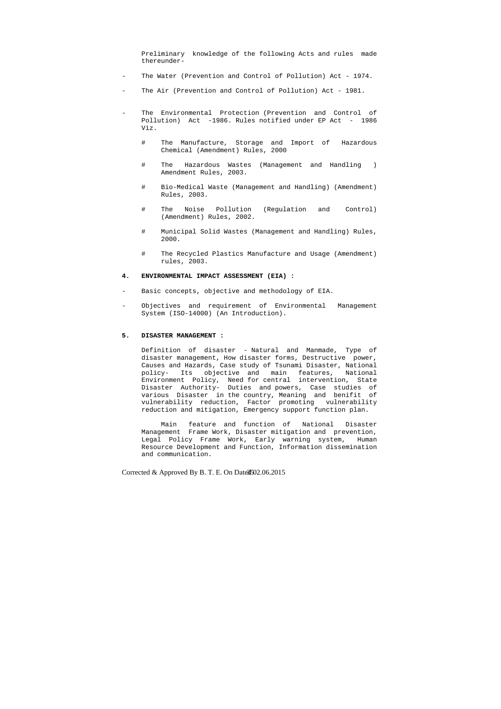Preliminary knowledge of the following Acts and rules made thereunder-

- The Water (Prevention and Control of Pollution) Act 1974.
- The Air (Prevention and Control of Pollution) Act 1981.
- The Environmental Protection (Prevention and Control of Pollution) Act -1986. Rules notified under EP Act - 1986 Viz.
	- # The Manufacture, Storage and Import of Hazardous Chemical (Amendment) Rules, 2000
	- # The Hazardous Wastes (Management and Handling ) Amendment Rules, 2003.
	- # Bio-Medical Waste (Management and Handling) (Amendment) Rules, 2003.
	- # The Noise Pollution (Regulation and Control) (Amendment) Rules, 2002.
	- # Municipal Solid Wastes (Management and Handling) Rules, 2000.
	- # The Recycled Plastics Manufacture and Usage (Amendment) rules, 2003.

- Basic concepts, objective and methodology of EIA.
- Objectives and requirement of Environmental Management System (ISO-14000) (An Introduction).

## **4. ENVIRONMENTAL IMPACT ASSESSMENT (EIA) :**

#### **5. DISASTER MANAGEMENT :**

 Definition of disaster - Natural and Manmade, Type of disaster management, How disaster forms, Destructive power, Causes and Hazards, Case study of Tsunami Disaster, National policy- Its objective and main features, National Environment Policy, Need for central intervention, State Disaster Authority- Duties and powers, Case studies of various Disaster in the country, Meaning and benifit of vulnerability reduction, Factor promoting vulnerability reduction and mitigation, Emergency support function plan.

 Main feature and function of National Disaster Management Frame Work, Disaster mitigation and prevention, Legal Policy Frame Work, Early warning system, Human Resource Development and Function, Information dissemination and communication.

Corrected & Approved By B. T. E. On Date $\frac{3502.06}{2015}$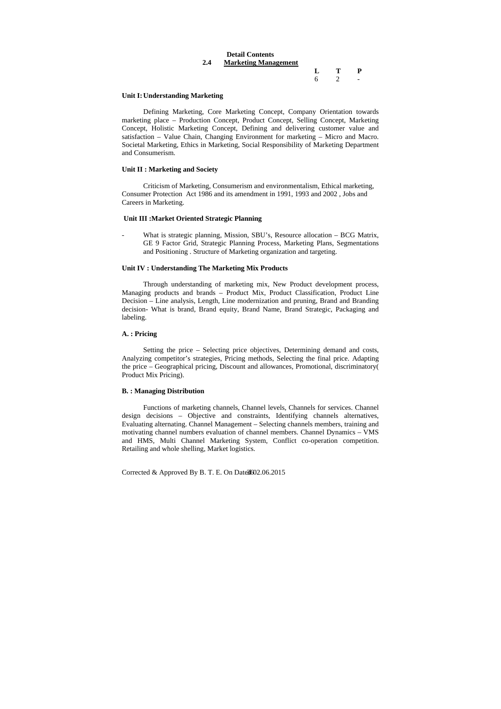|     | <b>Detail Contents</b>      |   |                |                         |
|-----|-----------------------------|---|----------------|-------------------------|
| 2.4 | <b>Marketing Management</b> |   |                |                         |
|     |                             |   | $\mathbf{T}$   | $\mathbf{P}$            |
|     |                             | 6 | $\overline{2}$ | $\sim 100$ km s $^{-1}$ |
|     |                             |   |                |                         |

## **Unit I: Understanding Marketing**

 Defining Marketing, Core Marketing Concept, Company Orientation towards marketing place – Production Concept, Product Concept, Selling Concept, Marketing Concept, Holistic Marketing Concept, Defining and delivering customer value and satisfaction – Value Chain, Changing Environment for marketing – Micro and Macro. Societal Marketing, Ethics in Marketing, Social Responsibility of Marketing Department and Consumerism.

What is strategic planning, Mission, SBU's, Resource allocation – BCG Matrix, GE 9 Factor Grid, Strategic Planning Process, Marketing Plans, Segmentations and Positioning . Structure of Marketing organization and targeting.

## **Unit II : Marketing and Society**

 Criticism of Marketing, Consumerism and environmentalism, Ethical marketing, Consumer Protection Act 1986 and its amendment in 1991, 1993 and 2002 , Jobs and Careers in Marketing.

## **Unit III :Market Oriented Strategic Planning**

## **Unit IV : Understanding The Marketing Mix Products**

 Through understanding of marketing mix, New Product development process, Managing products and brands – Product Mix, Product Classification, Product Line Decision – Line analysis, Length, Line modernization and pruning, Brand and Branding decision- What is brand, Brand equity, Brand Name, Brand Strategic, Packaging and labeling.

#### **A. : Pricing**

 Setting the price – Selecting price objectives, Determining demand and costs, Analyzing competitor's strategies, Pricing methods, Selecting the final price. Adapting the price – Geographical pricing, Discount and allowances, Promotional, discriminatory( Product Mix Pricing).

## **B. : Managing Distribution**

 Functions of marketing channels, Channel levels, Channels for services. Channel design decisions – Objective and constraints, Identifying channels alternatives, Evaluating alternating. Channel Management – Selecting channels members, training and motivating channel numbers evaluation of channel members. Channel Dynamics – VMS and HMS, Multi Channel Marketing System, Conflict co-operation competition. Retailing and whole shelling, Market logistics.

Corrected & Approved By B. T. E. On Date $3602.06.2015$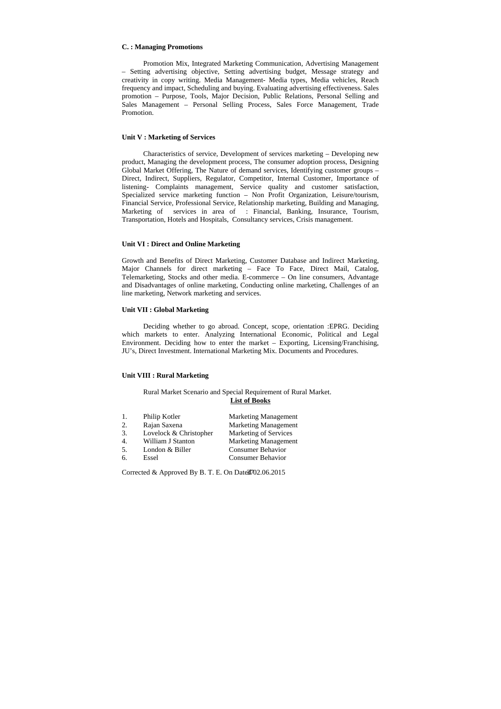#### **C. : Managing Promotions**

 Promotion Mix, Integrated Marketing Communication, Advertising Management – Setting advertising objective, Setting advertising budget, Message strategy and creativity in copy writing. Media Management- Media types, Media vehicles, Reach frequency and impact, Scheduling and buying. Evaluating advertising effectiveness. Sales promotion – Purpose, Tools, Major Decision, Public Relations, Personal Selling and Sales Management – Personal Selling Process, Sales Force Management, Trade Promotion.

## **Unit V : Marketing of Services**

 Characteristics of service, Development of services marketing – Developing new product, Managing the development process, The consumer adoption process, Designing Global Market Offering, The Nature of demand services, Identifying customer groups – Direct, Indirect, Suppliers, Regulator, Competitor, Internal Customer, Importance of listening- Complaints management, Service quality and customer satisfaction, Specialized service marketing function – Non Profit Organization, Leisure/tourism, Financial Service, Professional Service, Relationship marketing, Building and Managing, Marketing of services in area of : Financial, Banking, Insurance, Tourism, Transportation, Hotels and Hospitals, Consultancy services, Crisis management.

## **Unit VI : Direct and Online Marketing**

Growth and Benefits of Direct Marketing, Customer Database and Indirect Marketing, Major Channels for direct marketing – Face To Face, Direct Mail, Catalog, Telemarketing, Stocks and other media. E-commerce – On line consumers, Advantage and Disadvantages of online marketing, Conducting online marketing, Challenges of an line marketing, Network marketing and services.

## **Unit VII : Global Marketing**

 Deciding whether to go abroad. Concept, scope, orientation :EPRG. Deciding which markets to enter. Analyzing International Economic, Political and Legal Environment. Deciding how to enter the market – Exporting, Licensing/Franchising, JU's, Direct Investment. International Marketing Mix. Documents and Procedures.

## **Unit VIII : Rural Marketing**

Rural Market Scenario and Special Requirement of Rural Market. **List of Books**

| 1.               | Philip Kotler          | <b>Marketing Management</b>  |
|------------------|------------------------|------------------------------|
| 2.               | Rajan Saxena           | <b>Marketing Management</b>  |
| 3.               | Lovelock & Christopher | <b>Marketing of Services</b> |
| $\overline{4}$ . | William J Stanton      | <b>Marketing Management</b>  |
| 5.               | London & Biller        | <b>Consumer Behavior</b>     |
| 6.               | Essel                  | <b>Consumer Behavior</b>     |

Corrected & Approved By B. T. E. On Date $\frac{37}{02.06.2015}$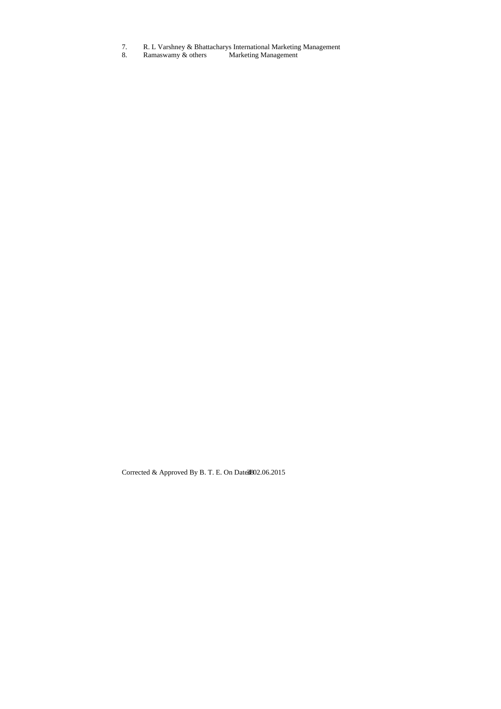- 7. R. L Varshney & Bhattacharys International Marketing Management
- 8. Ramaswamy & others Marketing Management

Corrected & Approved By B. T. E. On Date $3802.06.2015$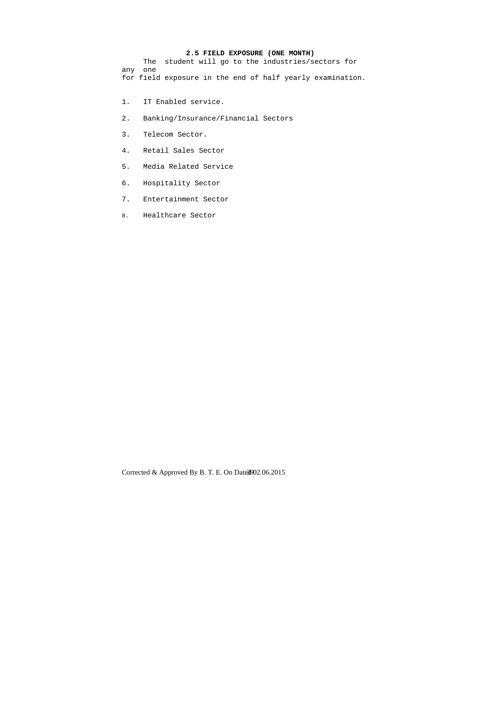# **2.5 FIELD EXPOSURE (ONE MONTH)**

 The student will go to the industries/sectors for any one for field exposure in the end of half yearly examination.

- 1. IT Enabled service.
- 2. Banking/Insurance/Financial Sectors
- 3. Telecom Sector.
- 4. Retail Sales Sector
- 5. Media Related Service
- 6. Hospitality Sector
- 7. Entertainment Sector
- 8. Healthcare Sector

Corrected & Approved By B. T. E. On Date  $3902.06.2015$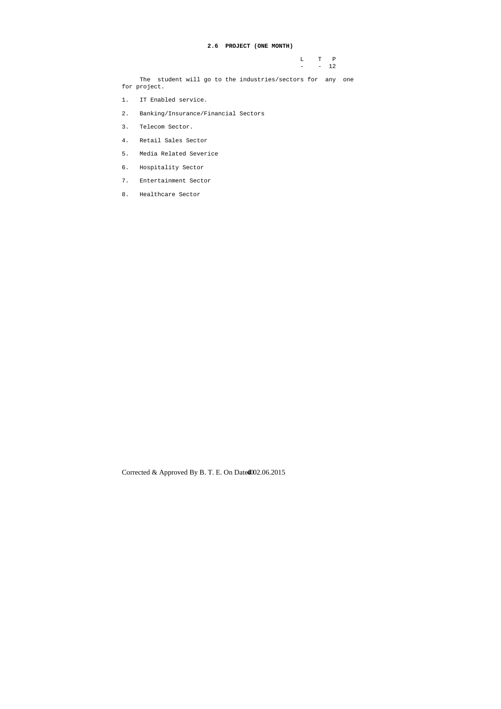L T P  $-$  12

## **2.6 PROJECT (ONE MONTH)**

 The student will go to the industries/sectors for any one for project.

- 1. IT Enabled service.
- 2. Banking/Insurance/Financial Sectors
- 3. Telecom Sector.
- 4. Retail Sales Sector
- 5. Media Related Severice
- 6. Hospitality Sector
- 7. Entertainment Sector
- 8. Healthcare Sector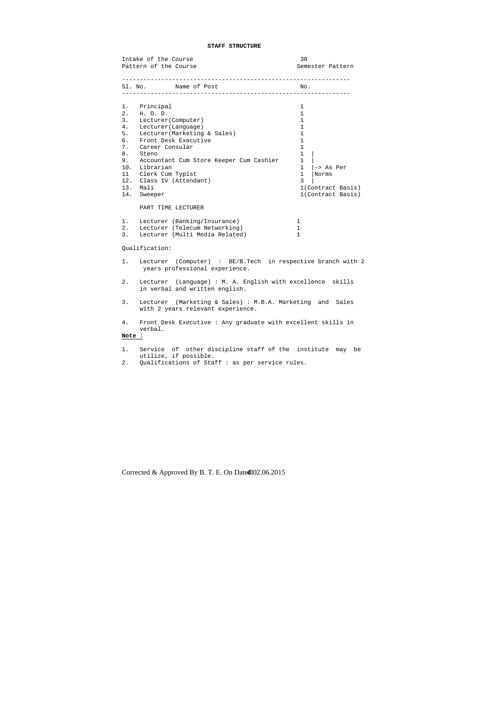## **STAFF STRUCTURE**

|                                                                                      | Intake of the Course<br>Pattern of the Course                                                                                                                                                                                                                                  | 30<br>Semester Pattern                                                                                                                                                                       |
|--------------------------------------------------------------------------------------|--------------------------------------------------------------------------------------------------------------------------------------------------------------------------------------------------------------------------------------------------------------------------------|----------------------------------------------------------------------------------------------------------------------------------------------------------------------------------------------|
| Sl. No.                                                                              | Name of Post                                                                                                                                                                                                                                                                   | No.                                                                                                                                                                                          |
| 1.<br>2.<br>3.<br>4.<br>5.<br>б.<br>7.<br>8.<br>9.<br>10.<br>11<br>12.<br>13.<br>14. | Principal<br>H. O. D.<br>Lecturer (Computer)<br>Lecturer (Language)<br>Lecturer (Marketing & Sales)<br>Front Desk Executive<br>Career Consular<br>Steno<br>Accountant Cum Store Keeper Cum Cashier<br>Librarian<br>Clerk Cum Typist<br>Class IV (Attendant)<br>Mali<br>Sweeper | 1<br>1<br>$\mathbf{1}$<br>1<br>1<br>1<br>$\mathbf{1}$<br>$\mathbf{1}$<br>$\mathbf 1$<br>$\mathbf{1}$<br>$ ->$ As Per<br>$\mathbf{1}$<br>Norms<br>3<br>1(Contract Basis)<br>1(Contract Basis) |
|                                                                                      | PART TIME LECTURER                                                                                                                                                                                                                                                             |                                                                                                                                                                                              |
| 1.<br>2.<br>3.                                                                       | Lecturer (Banking/Insurance)<br>Lecturer (Telecum Networking)<br>Lecturer (Multi Media Related)                                                                                                                                                                                | 1<br>$\mathbf{1}$<br>$\mathbf{1}$                                                                                                                                                            |
|                                                                                      | Qualification:                                                                                                                                                                                                                                                                 |                                                                                                                                                                                              |
| $1$ .                                                                                | Lecturer (Computer) : BE/B.Tech in respective branch with 2<br>years professional experience.                                                                                                                                                                                  |                                                                                                                                                                                              |
| 2.                                                                                   | Lecturer (Language) : M. A. English with excellence skills<br>in verbal and written english.                                                                                                                                                                                   |                                                                                                                                                                                              |
| 3.                                                                                   | Lecturer (Marketing & Sales) : M.B.A. Marketing and Sales<br>with 2 years relevant experience.                                                                                                                                                                                 |                                                                                                                                                                                              |
| 4.<br><b>Note :</b>                                                                  | Front Desk Executive : Any graduate with excellent skills in<br>verbal.                                                                                                                                                                                                        |                                                                                                                                                                                              |

- 1. Service of other discipline staff of the institute may be utilize, if possible.
- 2. Qualifications of Staff : as per service rules.

Corrected & Approved By B. T. E. On Date 4102.06.2015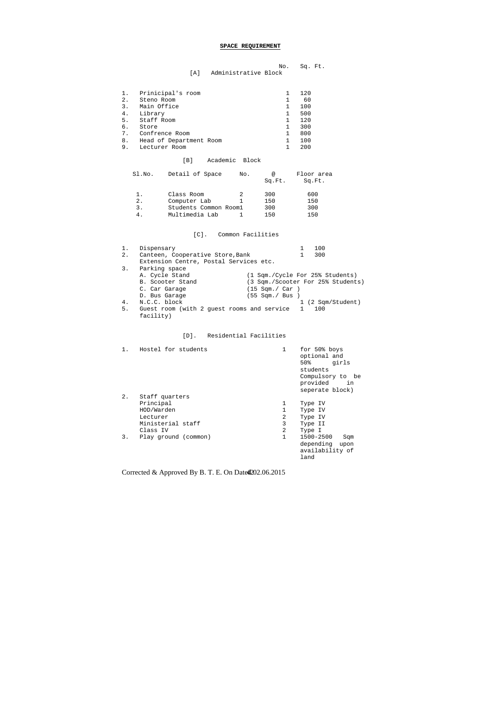## **SPACE REQUIREMENT**

|                          | No. Sq. Ft. |
|--------------------------|-------------|
| [A] Administrative Block |             |

|    | 1. Prinicipal's room    |   | 120 |
|----|-------------------------|---|-----|
| 2. | Steno Room              |   | 60  |
| 3. | Main Office             |   | 100 |
|    | 4. Library              | 1 | 500 |
|    | 5. Staff Room           |   | 120 |
| б. | Store                   | 1 | 300 |
|    | 7. Confrence Room       |   | 800 |
| 8. | Head of Department Room |   | 100 |
| 9. | Lecturer Room           |   | 200 |
|    |                         |   |     |

## [B] Academic Block

| Sl.No. | Detail of Space       | No.           | @<br>Sq.Ft. | Floor area<br>Sq.Ft. |
|--------|-----------------------|---------------|-------------|----------------------|
| 1.     | Class Room            | $\mathcal{D}$ | 300         | 600                  |
| 2.     | Computer Lab          |               | 150         | 150                  |
| 3.     | Students Common Room1 |               | 300         | 300                  |
| 4.     | Multimedia Lab        |               | 150         | 150                  |

## [C]. Common Facilities

| $1$ . | Dispensary                                 |                                 |   | 100                               |
|-------|--------------------------------------------|---------------------------------|---|-----------------------------------|
| 2.    | Canteen, Cooperative Store, Bank           |                                 |   | 300                               |
|       | Extension Centre, Postal Services etc.     |                                 |   |                                   |
| 3.    | Parking space                              |                                 |   |                                   |
|       | A. Cycle Stand                             | (1 Sqm./Cycle For 25% Students) |   |                                   |
|       | B. Scooter Stand                           |                                 |   | (3 Sqm./Scooter For 25% Students) |
|       | C. Car Garage                              | $(15 \text{ Sam.}/ \text{Car})$ |   |                                   |
|       | D. Bus Garage                              | (55 Sqm./ Bus )                 |   |                                   |
| 4.    | N.C.C. block                               |                                 |   | 1 (2 Sqm/Student)                 |
| 5.    | Guest room (with 2 quest rooms and service |                                 | 1 | 100                               |
|       | facility)                                  |                                 |   |                                   |

## [D]. Residential Facilities

| $1$ . | Hostel for students                                                                    | 1                | for 50% boys<br>optional and<br>50% 2016<br>girls<br>students<br>Compulsory to be<br>provided<br>in<br>seperate block) |
|-------|----------------------------------------------------------------------------------------|------------------|------------------------------------------------------------------------------------------------------------------------|
| 2.    | Staff quarters<br>Principal<br>HOD/Warden<br>Lecturer<br>Ministerial staff<br>Class IV | 1<br>2<br>3<br>2 | Type IV<br>Type IV<br>Type IV<br>Type II<br>Type I                                                                     |
| 3.    | Play ground (common)                                                                   | $\mathbf{1}$     | 1500-2500<br>Sqm<br>depending upon<br>availability of<br>land                                                          |

Corrected & Approved By B. T. E. On Date 4202.06.2015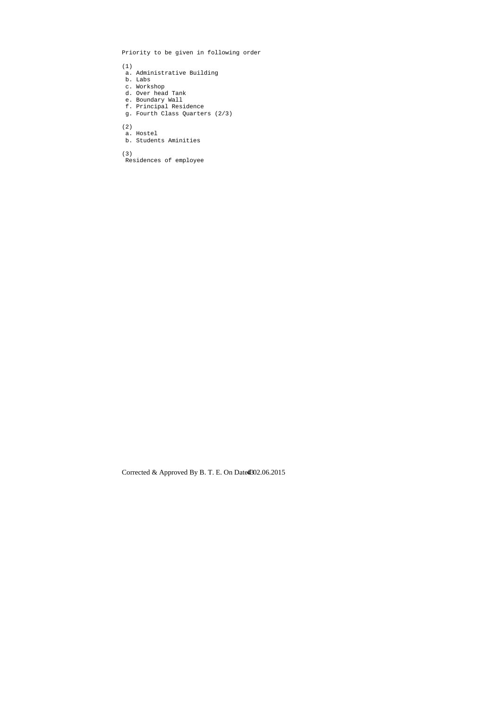Priority to be given in following order

(1)

- a. Administrative Building
- b. Labs
- c. Workshop
- d. Over head Tank
- e. Boundary Wall
- f. Principal Residence
- g. Fourth Class Quarters (2/3)

(2)

- a. Hostel
- b. Students Aminities

(3)

Residences of employee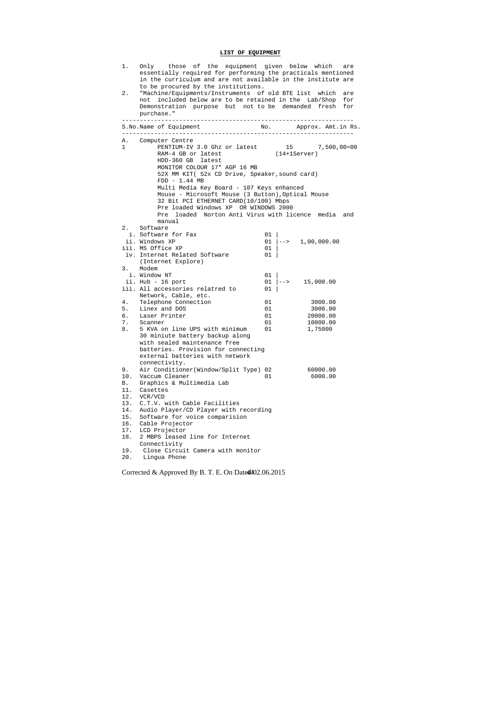# **LIST OF EQUIPMENT**

| 1.           | Only those of the equipment given below which are<br>essentially required for performing the practicals mentioned<br>in the curriculum and are not available in the institute are |                |                         |
|--------------|-----------------------------------------------------------------------------------------------------------------------------------------------------------------------------------|----------------|-------------------------|
| 2.           | to be procured by the institutions.<br>"Machine/Equipments/Instruments of old BTE list which are                                                                                  |                |                         |
|              | not included below are to be retained in the Lab/Shop for                                                                                                                         |                |                         |
|              | Demonstration purpose but not to be demanded fresh for                                                                                                                            |                |                         |
|              | purchase."                                                                                                                                                                        |                |                         |
|              |                                                                                                                                                                                   |                |                         |
|              | S.No.Name of Equipment                                                                                                                                                            |                |                         |
| Α.           | Computer Centre                                                                                                                                                                   |                |                         |
| $\mathbf{1}$ | PENTIUM-IV 3.0 Ghz or latest 15 7,500,00=00                                                                                                                                       |                |                         |
|              | RAM-4 GB or latest                                                                                                                                                                | $(14+1Server)$ |                         |
|              | HDD-360 GB latest                                                                                                                                                                 |                |                         |
|              | MONITOR COLOUR 17" AGP 16 MB                                                                                                                                                      |                |                         |
|              | 52X MM KIT( 52x CD Drive, Speaker, sound card)                                                                                                                                    |                |                         |
|              | $FDD - 1.44 MB$<br>Multi Media Key Board - 107 Keys enhanced                                                                                                                      |                |                         |
|              | Mouse - Microsoft Mouse (3 Button), Optical Mouse                                                                                                                                 |                |                         |
|              | 32 Bit PCI ETHERNET CARD(10/100) Mbps                                                                                                                                             |                |                         |
|              | Pre loaded Windows XP OR WINDOWS 2000                                                                                                                                             |                |                         |
|              | Pre loaded Norton Anti Virus with licence media and                                                                                                                               |                |                         |
|              | manual                                                                                                                                                                            |                |                         |
|              | 2. Software                                                                                                                                                                       |                |                         |
|              | i. Software for Fax                                                                                                                                                               | 01             |                         |
|              | ii. Windows XP                                                                                                                                                                    |                | $01$ $ -->$ 1,00,000.00 |
|              | iii. MS Office XP                                                                                                                                                                 | 01             |                         |
|              | iv. Internet Related Software                                                                                                                                                     | 01             |                         |
|              | (Internet Explore)                                                                                                                                                                |                |                         |
| 3.           | Modem                                                                                                                                                                             |                |                         |
|              | i. Window NT<br>ii. Hub - 16 port                                                                                                                                                 | 01<br>01       | $-->$ 15,000.00         |
|              | iii. All accessories relatred to                                                                                                                                                  | 01             |                         |
|              | Network, Cable, etc.                                                                                                                                                              |                |                         |
| 4.           | Telephone Connection                                                                                                                                                              | 01             | 3000.00                 |
| 5.           | Linex and DOS                                                                                                                                                                     | 01             | 3000.00                 |
| б.           | Laser Printer                                                                                                                                                                     | 01             | 20000.00                |
| 7.           | Scanner                                                                                                                                                                           | 01             | 10000.00                |
| 8.           | 5 KVA on line UPS with minimum                                                                                                                                                    | 01             | 1,75000                 |
|              | 30 miniute battery backup along                                                                                                                                                   |                |                         |
|              | with sealed maintenance free                                                                                                                                                      |                |                         |
|              | batteries. Provision for connecting                                                                                                                                               |                |                         |
|              | external batteries with network<br>connectivity.                                                                                                                                  |                |                         |
| 9.           | Air Conditioner(Window/Split Type) 02                                                                                                                                             |                | 60000.00                |
| 10.          | Vaccum Cleaner                                                                                                                                                                    | 01             | 6000.00                 |
| В.           | Graphics & Multimedia Lab                                                                                                                                                         |                |                         |
|              | 11. Casettes                                                                                                                                                                      |                |                         |
| 12.          | VCR/VCD                                                                                                                                                                           |                |                         |
| 13.          | C.T.V. with Cable Facilities                                                                                                                                                      |                |                         |
| 14.          | Audio Player/CD Player with recording                                                                                                                                             |                |                         |
| 15.          | Software for voice comparision                                                                                                                                                    |                |                         |
| 16.          | Cable Projector                                                                                                                                                                   |                |                         |
| 17.          | LCD Projector                                                                                                                                                                     |                |                         |
| 18.          | 2 MBPS leased line for Internet                                                                                                                                                   |                |                         |
| 19.          | Connectivity<br>Close Circuit Camera with monitor                                                                                                                                 |                |                         |
| 20.          | Lingua Phone                                                                                                                                                                      |                |                         |
|              |                                                                                                                                                                                   |                |                         |

Corrected & Approved By B. T. E. On Date 4402.06.2015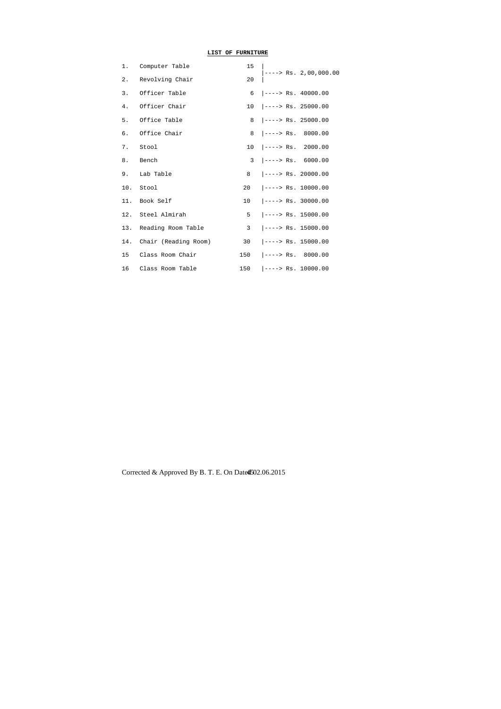## **LIST OF FURNITURE**

|       | 1. Computer Table        | 15 |                                |
|-------|--------------------------|----|--------------------------------|
| $2$ . | Revolving Chair          | 20 | $ --->$ Rs. 2,00,000.00        |
|       | 3. Officer Table         |    | $6$ $ --->$ Rs. 40000.00       |
| 4.    | Officer Chair            |    | $10$ $ ----- >$ Rs. 25000.00   |
|       | 5. Office Table          |    | $8$ $\vert$ ----> Rs. 25000.00 |
|       | 6. Office Chair          |    | $8$ $ --->$ Rs. 8000.00        |
|       | 7. Stool                 |    | $10$ $ --->$ Rs. 2000.00       |
|       | 8. Bench                 |    | $3$ $ --->$ Rs. 6000.00        |
|       | 9. Lab Table             |    | $8$ $ --->$ Rs. 20000.00       |
|       | 10. Stool                |    | $20$ $ --->$ Rs. 10000.00      |
|       | 11. Book Self            |    | $10$ $ -----$ Rs. 30000.00     |
|       | 12. Steel Almirah        |    | $5$ $\vert$ ----> Rs. 15000.00 |
|       | 13. Reading Room Table   |    | $3 \mid$ ----> Rs. 15000.00    |
|       | 14. Chair (Reading Room) |    | 30 $\vert$ ----> Rs. 15000.00  |
|       | 15 Class Room Chair      |    | $150$ $ --->$ Rs. 8000.00      |
|       | 16 Class Room Table      |    | $150$ $ -----$ Rs. 10000.00    |